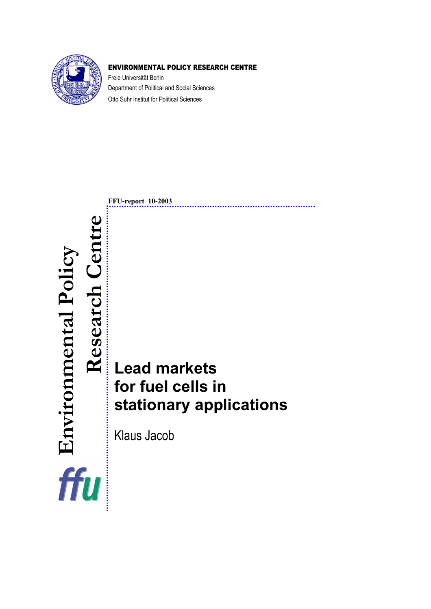

## ENVIRONMENTAL POLICY RESEARCH CENTRE

Freie Universität Berlin Department of Political and Social Sciences Otto Suhr Institut for Political Sciences

**FFU-report 10-2003 Research Centre**  Environmental Policy<br>Research Centre  **Environmental Policy Lead markets for fuel cells in stationary applications**  Klaus Jacob ffu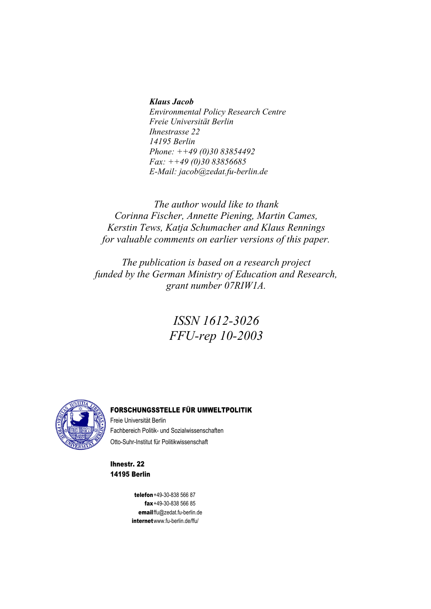#### *Klaus Jacob*

*Environmental Policy Research Centre Freie Universität Berlin Ihnestrasse 22 14195 Berlin Phone: ++49 (0)30 83854492 Fax: ++49 (0)30 83856685 E-Mail: jacob@zedat.fu-berlin.de* 

*The author would like to thank Corinna Fischer, Annette Piening, Martin Cames, Kerstin Tews, Katja Schumacher and Klaus Rennings for valuable comments on earlier versions of this paper.* 

*The publication is based on a research project funded by the German Ministry of Education and Research, grant number 07RIW1A.* 

## *ISSN 1612-3026 FFU-rep 10-2003*



#### FORSCHUNGSSTELLE FÜR UMWELTPOLITIK

Freie Universität Berlin Fachbereich Politik- und Sozialwissenschaften Otto-Suhr-Institut für Politikwissenschaft

Ihnestr. 22 14195 Berlin

> telefon +49-30-838 566 87 fax +49-30-838 566 85 email ffu@zedat.fu-berlin.de internet www.fu-berlin.de/ffu/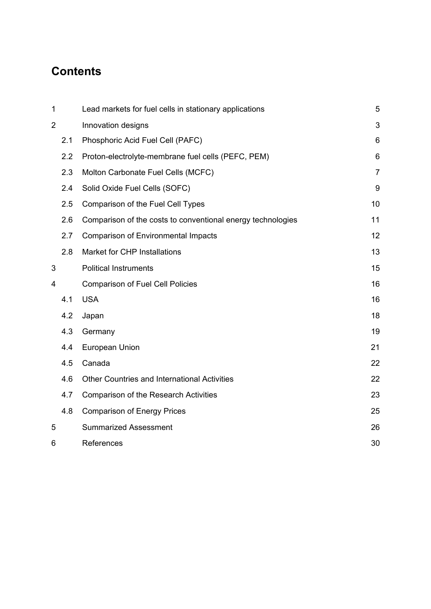# **Contents**

| 1              |     | Lead markets for fuel cells in stationary applications      | 5              |
|----------------|-----|-------------------------------------------------------------|----------------|
| $\overline{2}$ |     | Innovation designs                                          | 3              |
|                | 2.1 | Phosphoric Acid Fuel Cell (PAFC)                            | 6              |
|                | 2.2 | Proton-electrolyte-membrane fuel cells (PEFC, PEM)          | 6              |
|                | 2.3 | Molton Carbonate Fuel Cells (MCFC)                          | $\overline{7}$ |
|                | 2.4 | Solid Oxide Fuel Cells (SOFC)                               | 9              |
|                | 2.5 | Comparison of the Fuel Cell Types                           | 10             |
|                | 2.6 | Comparison of the costs to conventional energy technologies | 11             |
|                | 2.7 | <b>Comparison of Environmental Impacts</b>                  | 12             |
|                | 2.8 | Market for CHP Installations                                | 13             |
| 3              |     | <b>Political Instruments</b>                                | 15             |
| 4              |     | <b>Comparison of Fuel Cell Policies</b>                     | 16             |
|                | 4.1 | <b>USA</b>                                                  | 16             |
|                | 4.2 | Japan                                                       | 18             |
|                | 4.3 | Germany                                                     | 19             |
|                | 4.4 | European Union                                              | 21             |
|                | 4.5 | Canada                                                      | 22             |
|                | 4.6 | Other Countries and International Activities                | 22             |
|                | 4.7 | <b>Comparison of the Research Activities</b>                | 23             |
|                | 4.8 | <b>Comparison of Energy Prices</b>                          | 25             |
| 5              |     | <b>Summarized Assessment</b>                                | 26             |
| 6              |     | References                                                  | 30             |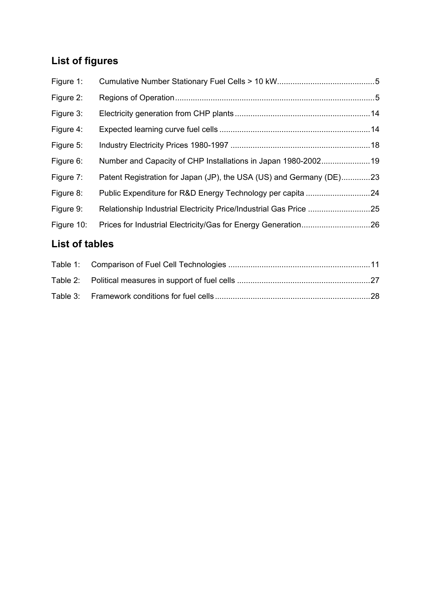# **List of figures**

| Figure 1:  |                                                                     |  |
|------------|---------------------------------------------------------------------|--|
| Figure 2:  |                                                                     |  |
| Figure 3:  |                                                                     |  |
| Figure 4:  |                                                                     |  |
| Figure 5:  |                                                                     |  |
| Figure 6:  | Number and Capacity of CHP Installations in Japan 1980-200219       |  |
| Figure 7:  | Patent Registration for Japan (JP), the USA (US) and Germany (DE)23 |  |
| Figure 8:  |                                                                     |  |
| Figure 9:  | Relationship Industrial Electricity Price/Industrial Gas Price 25   |  |
| Figure 10: |                                                                     |  |
|            |                                                                     |  |

## **List of tables**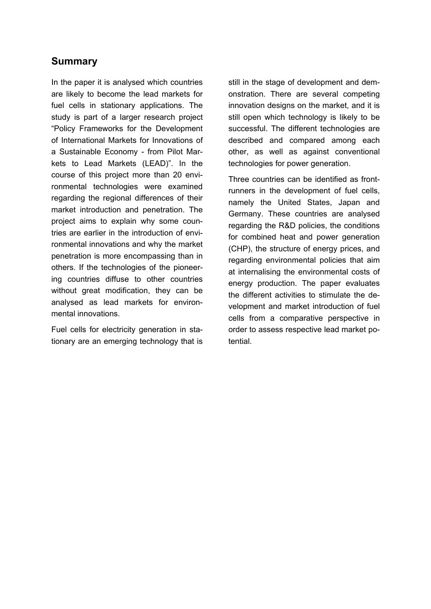## **Summary**

In the paper it is analysed which countries are likely to become the lead markets for fuel cells in stationary applications. The study is part of a larger research project "Policy Frameworks for the Development of International Markets for Innovations of a Sustainable Economy - from Pilot Markets to Lead Markets (LEAD)". In the course of this project more than 20 environmental technologies were examined regarding the regional differences of their market introduction and penetration. The project aims to explain why some countries are earlier in the introduction of environmental innovations and why the market penetration is more encompassing than in others. If the technologies of the pioneering countries diffuse to other countries without great modification, they can be analysed as lead markets for environmental innovations.

Fuel cells for electricity generation in stationary are an emerging technology that is still in the stage of development and demonstration. There are several competing innovation designs on the market, and it is still open which technology is likely to be successful. The different technologies are described and compared among each other, as well as against conventional technologies for power generation.

Three countries can be identified as frontrunners in the development of fuel cells, namely the United States, Japan and Germany. These countries are analysed regarding the R&D policies, the conditions for combined heat and power generation (CHP), the structure of energy prices, and regarding environmental policies that aim at internalising the environmental costs of energy production. The paper evaluates the different activities to stimulate the development and market introduction of fuel cells from a comparative perspective in order to assess respective lead market potential.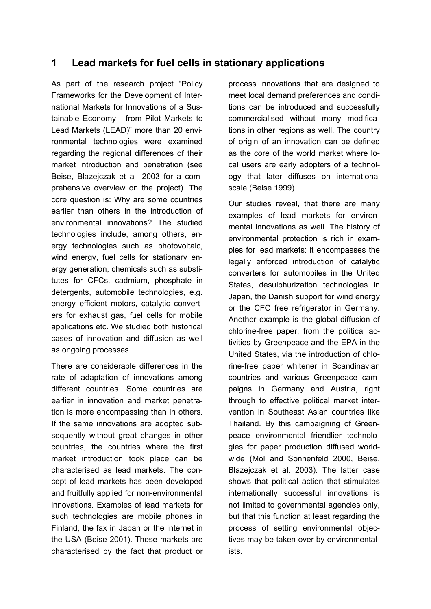## **1 Lead markets for fuel cells in stationary applications**

As part of the research project "Policy Frameworks for the Development of International Markets for Innovations of a Sustainable Economy - from Pilot Markets to Lead Markets (LEAD)" more than 20 environmental technologies were examined regarding the regional differences of their market introduction and penetration (see Beise, Blazejczak et al. 2003 for a comprehensive overview on the project). The core question is: Why are some countries earlier than others in the introduction of environmental innovations? The studied technologies include, among others, energy technologies such as photovoltaic, wind energy, fuel cells for stationary energy generation, chemicals such as substitutes for CFCs, cadmium, phosphate in detergents, automobile technologies, e.g. energy efficient motors, catalytic converters for exhaust gas, fuel cells for mobile applications etc. We studied both historical cases of innovation and diffusion as well as ongoing processes.

There are considerable differences in the rate of adaptation of innovations among different countries. Some countries are earlier in innovation and market penetration is more encompassing than in others. If the same innovations are adopted subsequently without great changes in other countries, the countries where the first market introduction took place can be characterised as lead markets. The concept of lead markets has been developed and fruitfully applied for non-environmental innovations. Examples of lead markets for such technologies are mobile phones in Finland, the fax in Japan or the internet in the USA (Beise 2001). These markets are characterised by the fact that product or process innovations that are designed to meet local demand preferences and conditions can be introduced and successfully commercialised without many modifications in other regions as well. The country of origin of an innovation can be defined as the core of the world market where local users are early adopters of a technology that later diffuses on international scale (Beise 1999).

Our studies reveal, that there are many examples of lead markets for environmental innovations as well. The history of environmental protection is rich in examples for lead markets: it encompasses the legally enforced introduction of catalytic converters for automobiles in the United States, desulphurization technologies in Japan, the Danish support for wind energy or the CFC free refrigerator in Germany. Another example is the global diffusion of chlorine-free paper, from the political activities by Greenpeace and the EPA in the United States, via the introduction of chlorine-free paper whitener in Scandinavian countries and various Greenpeace campaigns in Germany and Austria, right through to effective political market intervention in Southeast Asian countries like Thailand. By this campaigning of Greenpeace environmental friendlier technologies for paper production diffused worldwide (Mol and Sonnenfeld 2000, Beise, Blazejczak et al. 2003). The latter case shows that political action that stimulates internationally successful innovations is not limited to governmental agencies only, but that this function at least regarding the process of setting environmental objectives may be taken over by environmentalists.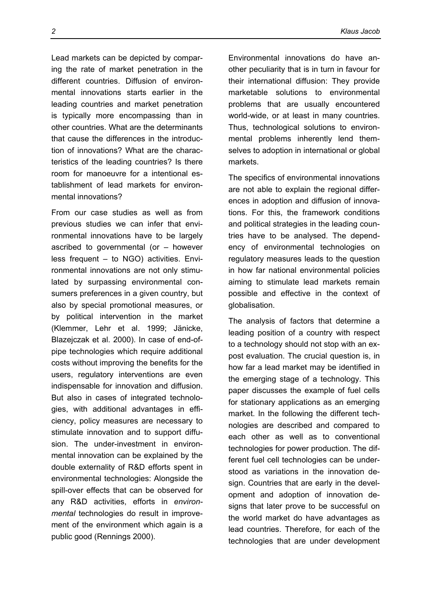Lead markets can be depicted by comparing the rate of market penetration in the different countries. Diffusion of environmental innovations starts earlier in the leading countries and market penetration is typically more encompassing than in other countries. What are the determinants that cause the differences in the introduction of innovations? What are the characteristics of the leading countries? Is there room for manoeuvre for a intentional establishment of lead markets for environmental innovations?

From our case studies as well as from previous studies we can infer that environmental innovations have to be largely ascribed to governmental (or – however less frequent – to NGO) activities. Environmental innovations are not only stimulated by surpassing environmental consumers preferences in a given country, but also by special promotional measures, or by political intervention in the market (Klemmer, Lehr et al. 1999; Jänicke, Blazejczak et al. 2000). In case of end-ofpipe technologies which require additional costs without improving the benefits for the users, regulatory interventions are even indispensable for innovation and diffusion. But also in cases of integrated technologies, with additional advantages in efficiency, policy measures are necessary to stimulate innovation and to support diffusion. The under-investment in environmental innovation can be explained by the double externality of R&D efforts spent in environmental technologies: Alongside the spill-over effects that can be observed for any R&D activities, efforts in *environmental* technologies do result in improvement of the environment which again is a public good (Rennings 2000).

Environmental innovations do have another peculiarity that is in turn in favour for their international diffusion: They provide marketable solutions to environmental problems that are usually encountered world-wide, or at least in many countries. Thus, technological solutions to environmental problems inherently lend themselves to adoption in international or global markets.

The specifics of environmental innovations are not able to explain the regional differences in adoption and diffusion of innovations. For this, the framework conditions and political strategies in the leading countries have to be analysed. The dependency of environmental technologies on regulatory measures leads to the question in how far national environmental policies aiming to stimulate lead markets remain possible and effective in the context of globalisation.

The analysis of factors that determine a leading position of a country with respect to a technology should not stop with an expost evaluation. The crucial question is, in how far a lead market may be identified in the emerging stage of a technology. This paper discusses the example of fuel cells for stationary applications as an emerging market. In the following the different technologies are described and compared to each other as well as to conventional technologies for power production. The different fuel cell technologies can be understood as variations in the innovation design. Countries that are early in the development and adoption of innovation designs that later prove to be successful on the world market do have advantages as lead countries. Therefore, for each of the technologies that are under development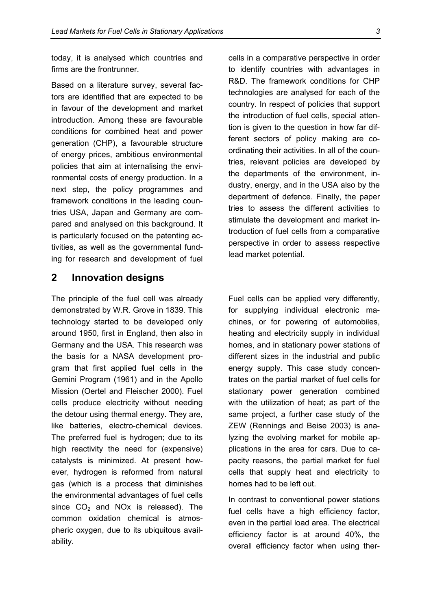today, it is analysed which countries and firms are the frontrunner.

Based on a literature survey, several factors are identified that are expected to be in favour of the development and market introduction. Among these are favourable conditions for combined heat and power generation (CHP), a favourable structure of energy prices, ambitious environmental policies that aim at internalising the environmental costs of energy production. In a next step, the policy programmes and framework conditions in the leading countries USA, Japan and Germany are compared and analysed on this background. It is particularly focused on the patenting activities, as well as the governmental funding for research and development of fuel

## **2 Innovation designs**

The principle of the fuel cell was already demonstrated by W.R. Grove in 1839. This technology started to be developed only around 1950, first in England, then also in Germany and the USA. This research was the basis for a NASA development program that first applied fuel cells in the Gemini Program (1961) and in the Apollo Mission (Oertel and Fleischer 2000). Fuel cells produce electricity without needing the detour using thermal energy. They are, like batteries, electro-chemical devices. The preferred fuel is hydrogen; due to its high reactivity the need for (expensive) catalysts is minimized. At present however, hydrogen is reformed from natural gas (which is a process that diminishes the environmental advantages of fuel cells since  $CO<sub>2</sub>$  and NO<sub>x</sub> is released). The common oxidation chemical is atmospheric oxygen, due to its ubiquitous availability.

cells in a comparative perspective in order to identify countries with advantages in R&D. The framework conditions for CHP technologies are analysed for each of the country. In respect of policies that support the introduction of fuel cells, special attention is given to the question in how far different sectors of policy making are coordinating their activities. In all of the countries, relevant policies are developed by the departments of the environment, industry, energy, and in the USA also by the department of defence. Finally, the paper tries to assess the different activities to stimulate the development and market introduction of fuel cells from a comparative perspective in order to assess respective lead market potential.

Fuel cells can be applied very differently, for supplying individual electronic machines, or for powering of automobiles, heating and electricity supply in individual homes, and in stationary power stations of different sizes in the industrial and public energy supply. This case study concentrates on the partial market of fuel cells for stationary power generation combined with the utilization of heat; as part of the same project, a further case study of the ZEW (Rennings and Beise 2003) is analyzing the evolving market for mobile applications in the area for cars. Due to capacity reasons, the partial market for fuel cells that supply heat and electricity to homes had to be left out.

In contrast to conventional power stations fuel cells have a high efficiency factor, even in the partial load area. The electrical efficiency factor is at around 40%, the overall efficiency factor when using ther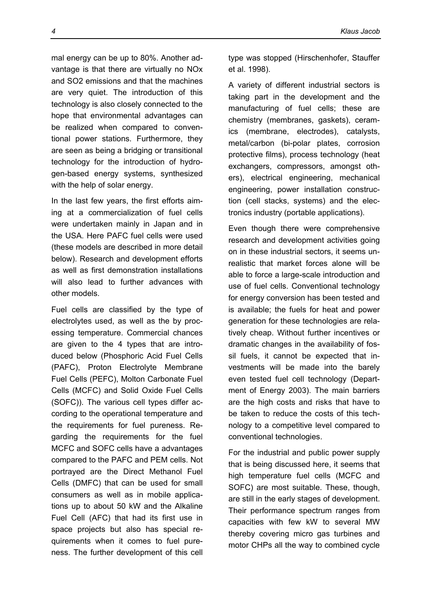mal energy can be up to 80%. Another advantage is that there are virtually no NOx and SO2 emissions and that the machines are very quiet. The introduction of this technology is also closely connected to the hope that environmental advantages can be realized when compared to conventional power stations. Furthermore, they are seen as being a bridging or transitional technology for the introduction of hydrogen-based energy systems, synthesized with the help of solar energy.

In the last few years, the first efforts aiming at a commercialization of fuel cells were undertaken mainly in Japan and in the USA. Here PAFC fuel cells were used (these models are described in more detail below). Research and development efforts as well as first demonstration installations will also lead to further advances with other models.

Fuel cells are classified by the type of electrolytes used, as well as the by processing temperature. Commercial chances are given to the 4 types that are introduced below (Phosphoric Acid Fuel Cells (PAFC), Proton Electrolyte Membrane Fuel Cells (PEFC), Molton Carbonate Fuel Cells (MCFC) and Solid Oxide Fuel Cells (SOFC)). The various cell types differ according to the operational temperature and the requirements for fuel pureness. Regarding the requirements for the fuel MCFC and SOFC cells have a advantages compared to the PAFC and PEM cells. Not portrayed are the Direct Methanol Fuel Cells (DMFC) that can be used for small consumers as well as in mobile applications up to about 50 kW and the Alkaline Fuel Cell (AFC) that had its first use in space projects but also has special requirements when it comes to fuel pureness. The further development of this cell type was stopped (Hirschenhofer, Stauffer et al. 1998).

A variety of different industrial sectors is taking part in the development and the manufacturing of fuel cells; these are chemistry (membranes, gaskets), ceramics (membrane, electrodes), catalysts, metal/carbon (bi-polar plates, corrosion protective films), process technology (heat exchangers, compressors, amongst others), electrical engineering, mechanical engineering, power installation construction (cell stacks, systems) and the electronics industry (portable applications).

Even though there were comprehensive research and development activities going on in these industrial sectors, it seems unrealistic that market forces alone will be able to force a large-scale introduction and use of fuel cells. Conventional technology for energy conversion has been tested and is available; the fuels for heat and power generation for these technologies are relatively cheap. Without further incentives or dramatic changes in the availability of fossil fuels, it cannot be expected that investments will be made into the barely even tested fuel cell technology (Department of Energy 2003). The main barriers are the high costs and risks that have to be taken to reduce the costs of this technology to a competitive level compared to conventional technologies.

For the industrial and public power supply that is being discussed here, it seems that high temperature fuel cells (MCFC and SOFC) are most suitable. These, though, are still in the early stages of development. Their performance spectrum ranges from capacities with few kW to several MW thereby covering micro gas turbines and motor CHPs all the way to combined cycle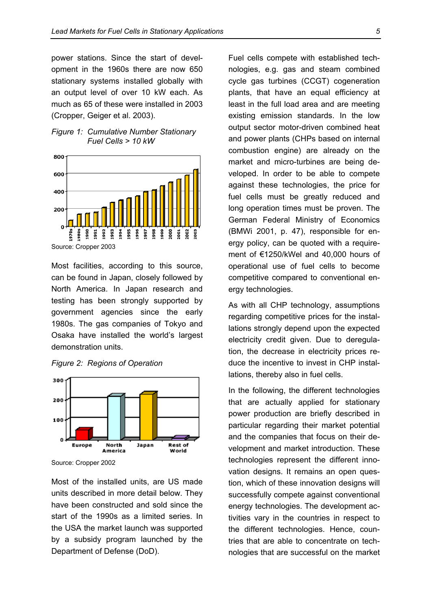power stations. Since the start of development in the 1960s there are now 650 stationary systems installed globally with an output level of over 10 kW each. As much as 65 of these were installed in 2003 (Cropper, Geiger et al. 2003).





Source: Cropper 2003

Most facilities, according to this source, can be found in Japan, closely followed by North America. In Japan research and testing has been strongly supported by government agencies since the early 1980s. The gas companies of Tokyo and Osaka have installed the world's largest demonstration units.





Source: Cropper 2002

Most of the installed units, are US made units described in more detail below. They have been constructed and sold since the start of the 1990s as a limited series. In the USA the market launch was supported by a subsidy program launched by the Department of Defense (DoD).

Fuel cells compete with established technologies, e.g. gas and steam combined cycle gas turbines (CCGT) cogeneration plants, that have an equal efficiency at least in the full load area and are meeting existing emission standards. In the low output sector motor-driven combined heat and power plants (CHPs based on internal combustion engine) are already on the market and micro-turbines are being developed. In order to be able to compete against these technologies, the price for fuel cells must be greatly reduced and long operation times must be proven. The German Federal Ministry of Economics (BMWi 2001, p. 47), responsible for energy policy, can be quoted with a requirement of €1250/kWel and 40,000 hours of operational use of fuel cells to become competitive compared to conventional energy technologies.

As with all CHP technology, assumptions regarding competitive prices for the installations strongly depend upon the expected electricity credit given. Due to deregulation, the decrease in electricity prices reduce the incentive to invest in CHP installations, thereby also in fuel cells.

In the following, the different technologies that are actually applied for stationary power production are briefly described in particular regarding their market potential and the companies that focus on their development and market introduction. These technologies represent the different innovation designs. It remains an open question, which of these innovation designs will successfully compete against conventional energy technologies. The development activities vary in the countries in respect to the different technologies. Hence, countries that are able to concentrate on technologies that are successful on the market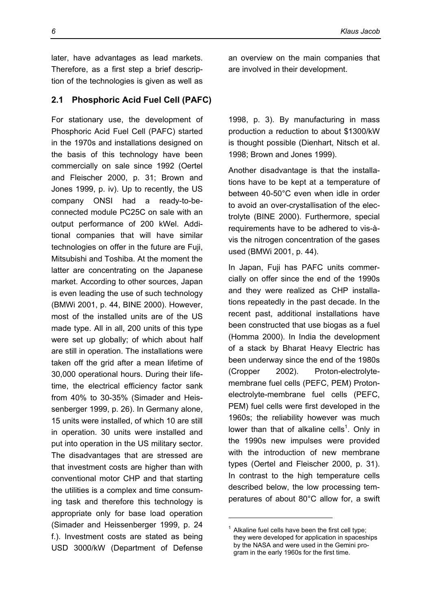later, have advantages as lead markets. Therefore, as a first step a brief description of the technologies is given as well as

#### **2.1 Phosphoric Acid Fuel Cell (PAFC)**

For stationary use, the development of Phosphoric Acid Fuel Cell (PAFC) started in the 1970s and installations designed on the basis of this technology have been commercially on sale since 1992 (Oertel and Fleischer 2000, p. 31; Brown and Jones 1999, p. iv). Up to recently, the US company ONSI had a ready-to-beconnected module PC25C on sale with an output performance of 200 kWel. Additional companies that will have similar technologies on offer in the future are Fuji, Mitsubishi and Toshiba. At the moment the latter are concentrating on the Japanese market. According to other sources, Japan is even leading the use of such technology (BMWi 2001, p. 44, BINE 2000). However, most of the installed units are of the US made type. All in all, 200 units of this type were set up globally; of which about half are still in operation. The installations were taken off the grid after a mean lifetime of 30,000 operational hours. During their lifetime, the electrical efficiency factor sank from 40% to 30-35% (Simader and Heissenberger 1999, p. 26). In Germany alone, 15 units were installed, of which 10 are still in operation. 30 units were installed and put into operation in the US military sector. The disadvantages that are stressed are that investment costs are higher than with conventional motor CHP and that starting the utilities is a complex and time consuming task and therefore this technology is appropriate only for base load operation (Simader and Heissenberger 1999, p. 24 f.). Investment costs are stated as being USD 3000/kW (Department of Defense

an overview on the main companies that are involved in their development.

1998, p. 3). By manufacturing in mass production a reduction to about \$1300/kW is thought possible (Dienhart, Nitsch et al. 1998; Brown and Jones 1999).

Another disadvantage is that the installations have to be kept at a temperature of between 40-50°C even when idle in order to avoid an over-crystallisation of the electrolyte (BINE 2000). Furthermore, special requirements have to be adhered to vis-àvis the nitrogen concentration of the gases used (BMWi 2001, p. 44).

In Japan, Fuji has PAFC units commercially on offer since the end of the 1990s and they were realized as CHP installations repeatedly in the past decade. In the recent past, additional installations have been constructed that use biogas as a fuel (Homma 2000). In India the development of a stack by Bharat Heavy Electric has been underway since the end of the 1980s (Cropper 2002). Proton-electrolytemembrane fuel cells (PEFC, PEM) Protonelectrolyte-membrane fuel cells (PEFC, PEM) fuel cells were first developed in the 1960s; the reliability however was much lower than that of alkaline cells<sup>1</sup>. Only in the 1990s new impulses were provided with the introduction of new membrane types (Oertel and Fleischer 2000, p. 31). In contrast to the high temperature cells described below, the low processing temperatures of about 80°C allow for, a swift

 $\overline{a}$ 

<sup>1</sup> Alkaline fuel cells have been the first cell type; they were developed for application in spaceships by the NASA and were used in the Gemini program in the early 1960s for the first time.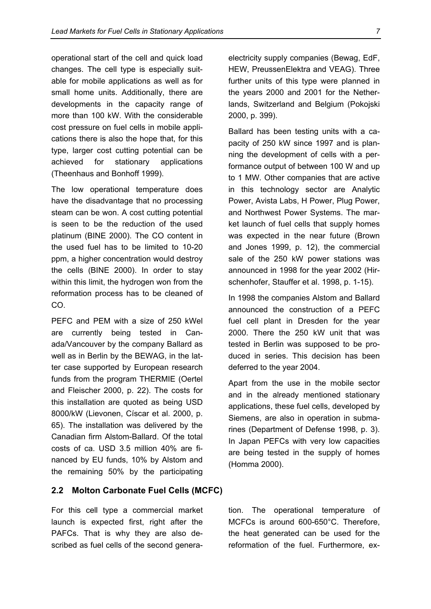operational start of the cell and quick load changes. The cell type is especially suitable for mobile applications as well as for small home units. Additionally, there are developments in the capacity range of more than 100 kW. With the considerable cost pressure on fuel cells in mobile applications there is also the hope that, for this type, larger cost cutting potential can be achieved for stationary applications (Theenhaus and Bonhoff 1999).

The low operational temperature does have the disadvantage that no processing steam can be won. A cost cutting potential is seen to be the reduction of the used platinum (BINE 2000). The CO content in the used fuel has to be limited to 10-20 ppm, a higher concentration would destroy the cells (BINE 2000). In order to stay within this limit, the hydrogen won from the reformation process has to be cleaned of CO.

PEFC and PEM with a size of 250 kWel are currently being tested in Canada/Vancouver by the company Ballard as well as in Berlin by the BEWAG, in the latter case supported by European research funds from the program THERMIE (Oertel and Fleischer 2000, p. 22). The costs for this installation are quoted as being USD 8000/kW (Lievonen, Císcar et al. 2000, p. 65). The installation was delivered by the Canadian firm Alstom-Ballard. Of the total costs of ca. USD 3.5 million 40% are financed by EU funds, 10% by Alstom and the remaining 50% by the participating

#### **2.2 Molton Carbonate Fuel Cells (MCFC)**

For this cell type a commercial market launch is expected first, right after the PAFCs. That is why they are also described as fuel cells of the second generaelectricity supply companies (Bewag, EdF, HEW, PreussenElektra and VEAG). Three further units of this type were planned in the years 2000 and 2001 for the Netherlands, Switzerland and Belgium (Pokojski 2000, p. 399).

Ballard has been testing units with a capacity of 250 kW since 1997 and is planning the development of cells with a performance output of between 100 W and up to 1 MW. Other companies that are active in this technology sector are Analytic Power, Avista Labs, H Power, Plug Power, and Northwest Power Systems. The market launch of fuel cells that supply homes was expected in the near future (Brown and Jones 1999, p. 12), the commercial sale of the 250 kW power stations was announced in 1998 for the year 2002 (Hirschenhofer, Stauffer et al. 1998, p. 1-15).

In 1998 the companies Alstom and Ballard announced the construction of a PEFC fuel cell plant in Dresden for the year 2000. There the 250 kW unit that was tested in Berlin was supposed to be produced in series. This decision has been deferred to the year 2004.

Apart from the use in the mobile sector and in the already mentioned stationary applications, these fuel cells, developed by Siemens, are also in operation in submarines (Department of Defense 1998, p. 3). In Japan PEFCs with very low capacities are being tested in the supply of homes (Homma 2000).

tion. The operational temperature of MCFCs is around 600-650°C. Therefore, the heat generated can be used for the reformation of the fuel. Furthermore, ex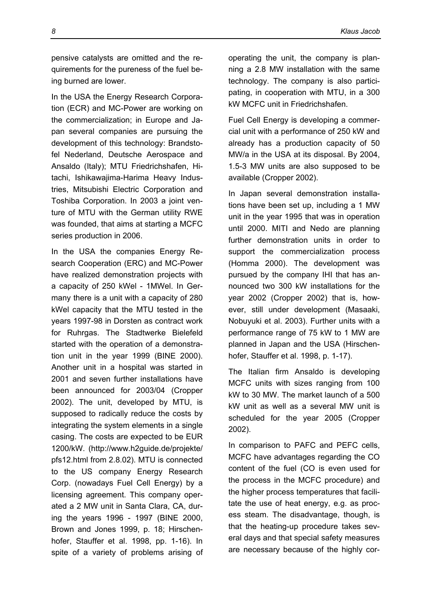pensive catalysts are omitted and the requirements for the pureness of the fuel being burned are lower.

In the USA the Energy Research Corporation (ECR) and MC-Power are working on the commercialization; in Europe and Japan several companies are pursuing the development of this technology: Brandstofel Nederland, Deutsche Aerospace and Ansaldo (Italy); MTU Friedrichshafen, Hitachi, Ishikawajima-Harima Heavy Industries, Mitsubishi Electric Corporation and Toshiba Corporation. In 2003 a joint venture of MTU with the German utility RWE was founded, that aims at starting a MCFC series production in 2006.

In the USA the companies Energy Research Cooperation (ERC) and MC-Power have realized demonstration projects with a capacity of 250 kWel - 1MWel. In Germany there is a unit with a capacity of 280 kWel capacity that the MTU tested in the years 1997-98 in Dorsten as contract work for Ruhrgas. The Stadtwerke Bielefeld started with the operation of a demonstration unit in the year 1999 (BINE 2000). Another unit in a hospital was started in 2001 and seven further installations have been announced for 2003/04 (Cropper 2002). The unit, developed by MTU, is supposed to radically reduce the costs by integrating the system elements in a single casing. The costs are expected to be EUR 1200/kW. (http://www.h2guide.de/projekte/ pfs12.html from 2.8.02). MTU is connected to the US company Energy Research Corp. (nowadays Fuel Cell Energy) by a licensing agreement. This company operated a 2 MW unit in Santa Clara, CA, during the years 1996 - 1997 (BINE 2000, Brown and Jones 1999, p. 18; Hirschenhofer, Stauffer et al. 1998, pp. 1-16). In spite of a variety of problems arising of

operating the unit, the company is planning a 2.8 MW installation with the same technology. The company is also participating, in cooperation with MTU, in a 300 kW MCFC unit in Friedrichshafen.

Fuel Cell Energy is developing a commercial unit with a performance of 250 kW and already has a production capacity of 50 MW/a in the USA at its disposal. By 2004, 1.5-3 MW units are also supposed to be available (Cropper 2002).

In Japan several demonstration installations have been set up, including a 1 MW unit in the year 1995 that was in operation until 2000. MITI and Nedo are planning further demonstration units in order to support the commercialization process (Homma 2000). The development was pursued by the company IHI that has announced two 300 kW installations for the year 2002 (Cropper 2002) that is, however, still under development (Masaaki, Nobuyuki et al. 2003). Further units with a performance range of 75 kW to 1 MW are planned in Japan and the USA (Hirschenhofer, Stauffer et al. 1998, p. 1-17).

The Italian firm Ansaldo is developing MCFC units with sizes ranging from 100 kW to 30 MW. The market launch of a 500 kW unit as well as a several MW unit is scheduled for the year 2005 (Cropper 2002).

In comparison to PAFC and PEFC cells, MCFC have advantages regarding the CO content of the fuel (CO is even used for the process in the MCFC procedure) and the higher process temperatures that facilitate the use of heat energy, e.g. as process steam. The disadvantage, though, is that the heating-up procedure takes several days and that special safety measures are necessary because of the highly cor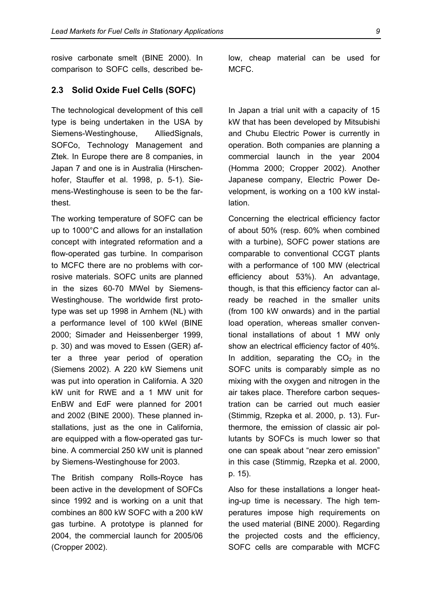rosive carbonate smelt (BINE 2000). In comparison to SOFC cells, described be-

#### **2.3 Solid Oxide Fuel Cells (SOFC)**

The technological development of this cell type is being undertaken in the USA by Siemens-Westinghouse, AlliedSignals, SOFCo, Technology Management and Ztek. In Europe there are 8 companies, in Japan 7 and one is in Australia (Hirschenhofer, Stauffer et al. 1998, p. 5-1). Siemens-Westinghouse is seen to be the farthest.

The working temperature of SOFC can be up to 1000°C and allows for an installation concept with integrated reformation and a flow-operated gas turbine. In comparison to MCFC there are no problems with corrosive materials. SOFC units are planned in the sizes 60-70 MWel by Siemens-Westinghouse. The worldwide first prototype was set up 1998 in Arnhem (NL) with a performance level of 100 kWel (BINE 2000; Simader and Heissenberger 1999, p. 30) and was moved to Essen (GER) after a three year period of operation (Siemens 2002). A 220 kW Siemens unit was put into operation in California. A 320 kW unit for RWE and a 1 MW unit for EnBW and EdF were planned for 2001 and 2002 (BINE 2000). These planned installations, just as the one in California, are equipped with a flow-operated gas turbine. A commercial 250 kW unit is planned by Siemens-Westinghouse for 2003.

The British company Rolls-Royce has been active in the development of SOFCs since 1992 and is working on a unit that combines an 800 kW SOFC with a 200 kW gas turbine. A prototype is planned for 2004, the commercial launch for 2005/06 (Cropper 2002).

low, cheap material can be used for MCFC.

In Japan a trial unit with a capacity of 15 kW that has been developed by Mitsubishi and Chubu Electric Power is currently in operation. Both companies are planning a commercial launch in the year 2004 (Homma 2000; Cropper 2002). Another Japanese company, Electric Power Development, is working on a 100 kW installation.

Concerning the electrical efficiency factor of about 50% (resp. 60% when combined with a turbine), SOFC power stations are comparable to conventional CCGT plants with a performance of 100 MW (electrical efficiency about 53%). An advantage, though, is that this efficiency factor can already be reached in the smaller units (from 100 kW onwards) and in the partial load operation, whereas smaller conventional installations of about 1 MW only show an electrical efficiency factor of 40%. In addition, separating the  $CO<sub>2</sub>$  in the SOFC units is comparably simple as no mixing with the oxygen and nitrogen in the air takes place. Therefore carbon sequestration can be carried out much easier (Stimmig, Rzepka et al. 2000, p. 13). Furthermore, the emission of classic air pollutants by SOFCs is much lower so that one can speak about "near zero emission" in this case (Stimmig, Rzepka et al. 2000, p. 15).

Also for these installations a longer heating-up time is necessary. The high temperatures impose high requirements on the used material (BINE 2000). Regarding the projected costs and the efficiency, SOFC cells are comparable with MCFC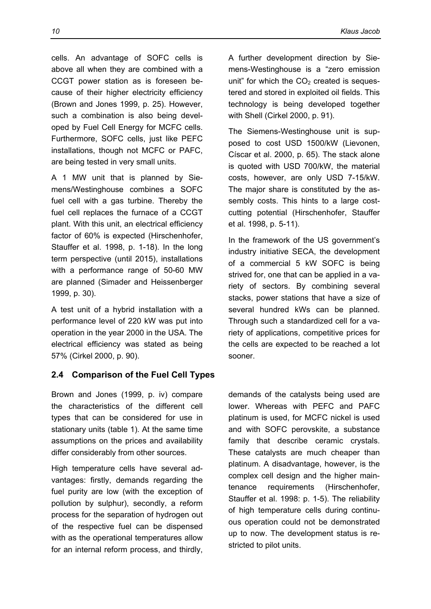cells. An advantage of SOFC cells is above all when they are combined with a CCGT power station as is foreseen because of their higher electricity efficiency (Brown and Jones 1999, p. 25). However, such a combination is also being developed by Fuel Cell Energy for MCFC cells. Furthermore, SOFC cells, just like PEFC installations, though not MCFC or PAFC, are being tested in very small units.

A 1 MW unit that is planned by Siemens/Westinghouse combines a SOFC fuel cell with a gas turbine. Thereby the fuel cell replaces the furnace of a CCGT plant. With this unit, an electrical efficiency factor of 60% is expected (Hirschenhofer, Stauffer et al. 1998, p. 1-18). In the long term perspective (until 2015), installations with a performance range of 50-60 MW are planned (Simader and Heissenberger 1999, p. 30).

A test unit of a hybrid installation with a performance level of 220 kW was put into operation in the year 2000 in the USA. The electrical efficiency was stated as being 57% (Cirkel 2000, p. 90).

## **2.4 Comparison of the Fuel Cell Types**

Brown and Jones (1999, p. iv) compare the characteristics of the different cell types that can be considered for use in stationary units (table 1). At the same time assumptions on the prices and availability differ considerably from other sources.

High temperature cells have several advantages: firstly, demands regarding the fuel purity are low (with the exception of pollution by sulphur), secondly, a reform process for the separation of hydrogen out of the respective fuel can be dispensed with as the operational temperatures allow for an internal reform process, and thirdly,

A further development direction by Siemens-Westinghouse is a "zero emission unit" for which the  $CO<sub>2</sub>$  created is sequestered and stored in exploited oil fields. This technology is being developed together with Shell (Cirkel 2000, p. 91).

The Siemens-Westinghouse unit is supposed to cost USD 1500/kW (Lievonen, Císcar et al. 2000, p. 65). The stack alone is quoted with USD 700/kW, the material costs, however, are only USD 7-15/kW. The major share is constituted by the assembly costs. This hints to a large costcutting potential (Hirschenhofer, Stauffer et al. 1998, p. 5-11).

In the framework of the US government's industry initiative SECA, the development of a commercial 5 kW SOFC is being strived for, one that can be applied in a variety of sectors. By combining several stacks, power stations that have a size of several hundred kWs can be planned. Through such a standardized cell for a variety of applications, competitive prices for the cells are expected to be reached a lot sooner.

demands of the catalysts being used are lower. Whereas with PEFC and PAFC platinum is used, for MCFC nickel is used and with SOFC perovskite, a substance family that describe ceramic crystals. These catalysts are much cheaper than platinum. A disadvantage, however, is the complex cell design and the higher maintenance requirements (Hirschenhofer, Stauffer et al. 1998: p. 1-5). The reliability of high temperature cells during continuous operation could not be demonstrated up to now. The development status is restricted to pilot units.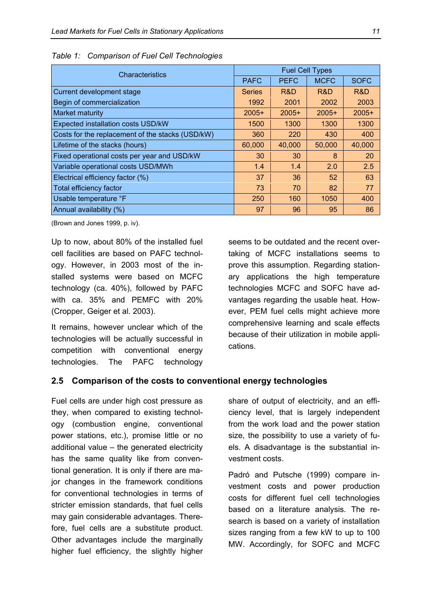| Characteristics                                  | <b>Fuel Cell Types</b> |             |             |             |
|--------------------------------------------------|------------------------|-------------|-------------|-------------|
|                                                  | <b>PAFC</b>            | <b>PEFC</b> | <b>MCFC</b> | <b>SOFC</b> |
| Current development stage                        | <b>Series</b>          | R&D         | R&D         | R&D         |
| Begin of commercialization                       | 1992                   | 2001        | 2002        | 2003        |
| Market maturity                                  | $2005+$                | $2005+$     | $2005+$     | $2005+$     |
| <b>Expected installation costs USD/kW</b>        | 1500                   | 1300        | 1300        | 1300        |
| Costs for the replacement of the stacks (USD/kW) | 360                    | 220         | 430         | 400         |
| Lifetime of the stacks (hours)                   | 60,000                 | 40,000      | 50,000      | 40,000      |
| Fixed operational costs per year and USD/kW      | 30                     | 30          | 8           | <b>20</b>   |
| Variable operational costs USD/MWh               | 1.4                    | 1.4         | 2.0         | 2.5         |
| Electrical efficiency factor (%)                 | 37                     | 36          | 52          | 63          |
| <b>Total efficiency factor</b>                   | 73                     | 70          | 82          | 77          |
| Usable temperature °F                            | 250                    | 160         | 1050        | 400         |
| Annual availability (%)                          | 97                     | 96          | 95          | 86          |

*Table 1: Comparison of Fuel Cell Technologies* 

(Brown and Jones 1999, p. iv).

Up to now, about 80% of the installed fuel cell facilities are based on PAFC technology. However, in 2003 most of the installed systems were based on MCFC technology (ca. 40%), followed by PAFC with ca. 35% and PEMFC with 20% (Cropper, Geiger et al. 2003).

It remains, however unclear which of the technologies will be actually successful in competition with conventional energy technologies. The PAFC technology seems to be outdated and the recent overtaking of MCFC installations seems to prove this assumption. Regarding stationary applications the high temperature technologies MCFC and SOFC have advantages regarding the usable heat. However, PEM fuel cells might achieve more comprehensive learning and scale effects because of their utilization in mobile applications.

#### **2.5 Comparison of the costs to conventional energy technologies**

Fuel cells are under high cost pressure as they, when compared to existing technology (combustion engine, conventional power stations, etc.), promise little or no additional value – the generated electricity has the same quality like from conventional generation. It is only if there are major changes in the framework conditions for conventional technologies in terms of stricter emission standards, that fuel cells may gain considerable advantages. Therefore, fuel cells are a substitute product. Other advantages include the marginally higher fuel efficiency, the slightly higher

share of output of electricity, and an efficiency level, that is largely independent from the work load and the power station size, the possibility to use a variety of fuels. A disadvantage is the substantial investment costs.

Padró and Putsche (1999) compare investment costs and power production costs for different fuel cell technologies based on a literature analysis. The research is based on a variety of installation sizes ranging from a few kW to up to 100 MW. Accordingly, for SOFC and MCFC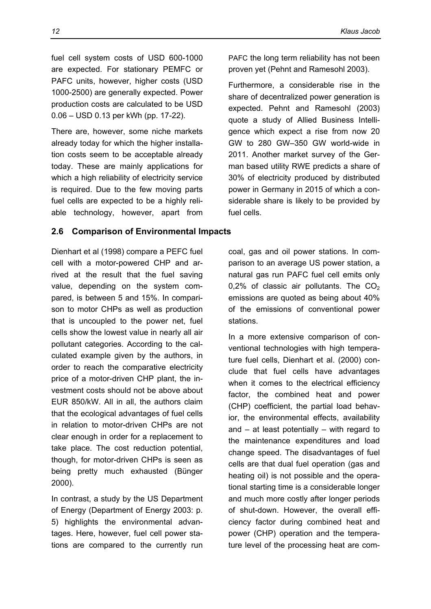fuel cell system costs of USD 600-1000 are expected. For stationary PEMFC or PAFC units, however, higher costs (USD 1000-2500) are generally expected. Power production costs are calculated to be USD 0.06 – USD 0.13 per kWh (pp. 17-22).

There are, however, some niche markets already today for which the higher installation costs seem to be acceptable already today. These are mainly applications for which a high reliability of electricity service is required. Due to the few moving parts fuel cells are expected to be a highly reliable technology, however, apart from

#### **2.6 Comparison of Environmental Impacts**

Dienhart et al (1998) compare a PEFC fuel cell with a motor-powered CHP and arrived at the result that the fuel saving value, depending on the system compared, is between 5 and 15%. In comparison to motor CHPs as well as production that is uncoupled to the power net, fuel cells show the lowest value in nearly all air pollutant categories. According to the calculated example given by the authors, in order to reach the comparative electricity price of a motor-driven CHP plant, the investment costs should not be above about EUR 850/kW. All in all, the authors claim that the ecological advantages of fuel cells in relation to motor-driven CHPs are not clear enough in order for a replacement to take place. The cost reduction potential, though, for motor-driven CHPs is seen as being pretty much exhausted (Bünger 2000).

In contrast, a study by the US Department of Energy (Department of Energy 2003: p. 5) highlights the environmental advantages. Here, however, fuel cell power stations are compared to the currently run PAFC the long term reliability has not been proven yet (Pehnt and Ramesohl 2003).

Furthermore, a considerable rise in the share of decentralized power generation is expected. Pehnt and Ramesohl (2003) quote a study of Allied Business Intelligence which expect a rise from now 20 GW to 280 GW–350 GW world-wide in 2011. Another market survey of the German based utility RWE predicts a share of 30% of electricity produced by distributed power in Germany in 2015 of which a considerable share is likely to be provided by fuel cells.

coal, gas and oil power stations. In comparison to an average US power station, a natural gas run PAFC fuel cell emits only 0,2% of classic air pollutants. The  $CO<sub>2</sub>$ emissions are quoted as being about 40% of the emissions of conventional power stations.

In a more extensive comparison of conventional technologies with high temperature fuel cells, Dienhart et al. (2000) conclude that fuel cells have advantages when it comes to the electrical efficiency factor, the combined heat and power (CHP) coefficient, the partial load behavior, the environmental effects, availability and  $-$  at least potentially  $-$  with regard to the maintenance expenditures and load change speed. The disadvantages of fuel cells are that dual fuel operation (gas and heating oil) is not possible and the operational starting time is a considerable longer and much more costly after longer periods of shut-down. However, the overall efficiency factor during combined heat and power (CHP) operation and the temperature level of the processing heat are com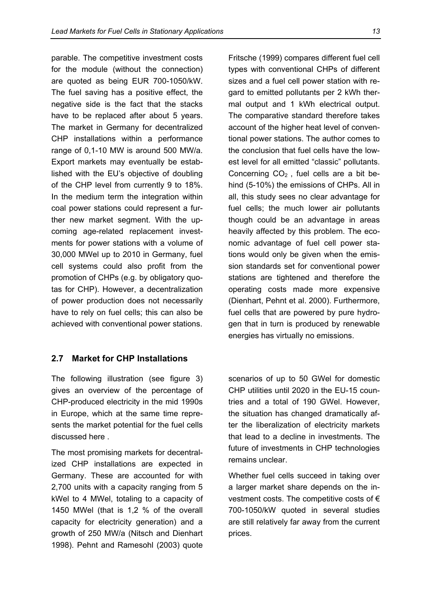parable. The competitive investment costs for the module (without the connection) are quoted as being EUR 700-1050/kW. The fuel saving has a positive effect, the negative side is the fact that the stacks have to be replaced after about 5 years. The market in Germany for decentralized CHP installations within a performance range of 0,1-10 MW is around 500 MW/a. Export markets may eventually be established with the EU's objective of doubling of the CHP level from currently 9 to 18%. In the medium term the integration within coal power stations could represent a further new market segment. With the upcoming age-related replacement investments for power stations with a volume of 30,000 MWel up to 2010 in Germany, fuel cell systems could also profit from the promotion of CHPs (e.g. by obligatory quotas for CHP). However, a decentralization of power production does not necessarily have to rely on fuel cells; this can also be achieved with conventional power stations.

## **2.7 Market for CHP Installations**

The following illustration (see figure 3) gives an overview of the percentage of CHP-produced electricity in the mid 1990s in Europe, which at the same time represents the market potential for the fuel cells discussed here .

The most promising markets for decentralized CHP installations are expected in Germany. These are accounted for with 2,700 units with a capacity ranging from 5 kWel to 4 MWel, totaling to a capacity of 1450 MWel (that is 1,2 % of the overall capacity for electricity generation) and a growth of 250 MW/a (Nitsch and Dienhart 1998). Pehnt and Ramesohl (2003) quote Fritsche (1999) compares different fuel cell types with conventional CHPs of different sizes and a fuel cell power station with regard to emitted pollutants per 2 kWh thermal output and 1 kWh electrical output. The comparative standard therefore takes account of the higher heat level of conventional power stations. The author comes to the conclusion that fuel cells have the lowest level for all emitted "classic" pollutants. Concerning  $CO<sub>2</sub>$ , fuel cells are a bit behind (5-10%) the emissions of CHPs. All in all, this study sees no clear advantage for fuel cells; the much lower air pollutants though could be an advantage in areas heavily affected by this problem. The economic advantage of fuel cell power stations would only be given when the emission standards set for conventional power stations are tightened and therefore the operating costs made more expensive (Dienhart, Pehnt et al. 2000). Furthermore, fuel cells that are powered by pure hydrogen that in turn is produced by renewable energies has virtually no emissions.

scenarios of up to 50 GWel for domestic CHP utilities until 2020 in the EU-15 countries and a total of 190 GWel. However, the situation has changed dramatically after the liberalization of electricity markets that lead to a decline in investments. The future of investments in CHP technologies remains unclear.

Whether fuel cells succeed in taking over a larger market share depends on the investment costs. The competitive costs of  $\epsilon$ 700-1050/kW quoted in several studies are still relatively far away from the current prices.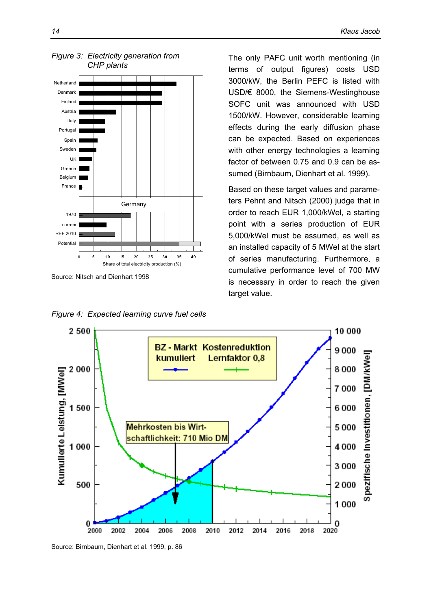

Source: Nitsch and Dienhart 1998

*Figure 4: Expected learning curve fuel cells* 

The only PAFC unit worth mentioning (in terms of output figures) costs USD 3000/kW, the Berlin PEFC is listed with USD/€ 8000, the Siemens-Westinghouse SOFC unit was announced with USD 1500/kW. However, considerable learning effects during the early diffusion phase can be expected. Based on experiences with other energy technologies a learning factor of between 0.75 and 0.9 can be assumed (Birnbaum, Dienhart et al. 1999).

Based on these target values and parameters Pehnt and Nitsch (2000) judge that in order to reach EUR 1,000/kWel, a starting point with a series production of EUR 5,000/kWel must be assumed, as well as an installed capacity of 5 MWel at the start of series manufacturing. Furthermore, a cumulative performance level of 700 MW is necessary in order to reach the given target value.



Source: Birnbaum, Dienhart et al. 1999, p. 86

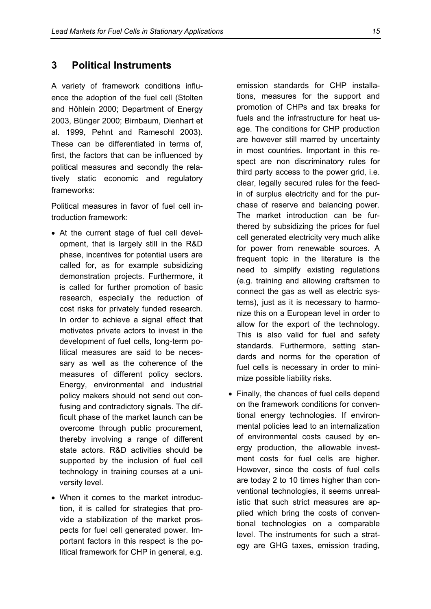## **3 Political Instruments**

A variety of framework conditions influence the adoption of the fuel cell (Stolten and Höhlein 2000; Department of Energy 2003, Bünger 2000; Birnbaum, Dienhart et al. 1999, Pehnt and Ramesohl 2003). These can be differentiated in terms of, first, the factors that can be influenced by political measures and secondly the relatively static economic and regulatory frameworks:

Political measures in favor of fuel cell introduction framework:

- At the current stage of fuel cell development, that is largely still in the R&D phase, incentives for potential users are called for, as for example subsidizing demonstration projects. Furthermore, it is called for further promotion of basic research, especially the reduction of cost risks for privately funded research. In order to achieve a signal effect that motivates private actors to invest in the development of fuel cells, long-term political measures are said to be necessary as well as the coherence of the measures of different policy sectors. Energy, environmental and industrial policy makers should not send out confusing and contradictory signals. The difficult phase of the market launch can be overcome through public procurement, thereby involving a range of different state actors. R&D activities should be supported by the inclusion of fuel cell technology in training courses at a university level.
- When it comes to the market introduction, it is called for strategies that provide a stabilization of the market prospects for fuel cell generated power. Important factors in this respect is the political framework for CHP in general, e.g.

emission standards for CHP installations, measures for the support and promotion of CHPs and tax breaks for fuels and the infrastructure for heat usage. The conditions for CHP production are however still marred by uncertainty in most countries. Important in this respect are non discriminatory rules for third party access to the power grid, i.e. clear, legally secured rules for the feedin of surplus electricity and for the purchase of reserve and balancing power. The market introduction can be furthered by subsidizing the prices for fuel cell generated electricity very much alike for power from renewable sources. A frequent topic in the literature is the need to simplify existing regulations (e.g. training and allowing craftsmen to connect the gas as well as electric systems), just as it is necessary to harmonize this on a European level in order to allow for the export of the technology. This is also valid for fuel and safety standards. Furthermore, setting standards and norms for the operation of fuel cells is necessary in order to minimize possible liability risks.

• Finally, the chances of fuel cells depend on the framework conditions for conventional energy technologies. If environmental policies lead to an internalization of environmental costs caused by energy production, the allowable investment costs for fuel cells are higher. However, since the costs of fuel cells are today 2 to 10 times higher than conventional technologies, it seems unrealistic that such strict measures are applied which bring the costs of conventional technologies on a comparable level. The instruments for such a strategy are GHG taxes, emission trading,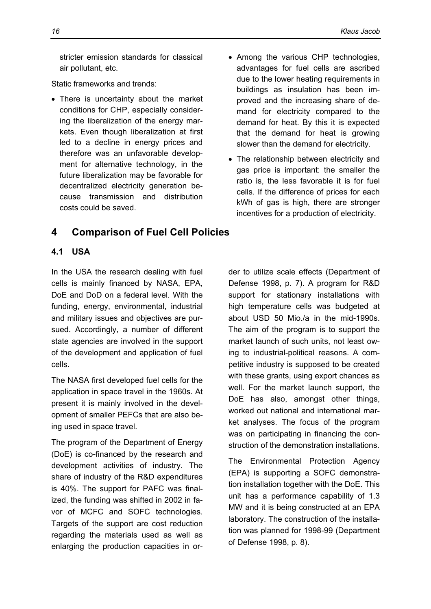stricter emission standards for classical air pollutant, etc.

Static frameworks and trends:

- There is uncertainty about the market conditions for CHP, especially considering the liberalization of the energy markets. Even though liberalization at first led to a decline in energy prices and therefore was an unfavorable development for alternative technology, in the future liberalization may be favorable for decentralized electricity generation because transmission and distribution costs could be saved.
- Among the various CHP technologies, advantages for fuel cells are ascribed due to the lower heating requirements in buildings as insulation has been improved and the increasing share of demand for electricity compared to the demand for heat. By this it is expected that the demand for heat is growing slower than the demand for electricity.
- The relationship between electricity and gas price is important: the smaller the ratio is, the less favorable it is for fuel cells. If the difference of prices for each kWh of gas is high, there are stronger incentives for a production of electricity.

## **4 Comparison of Fuel Cell Policies**

### **4.1 USA**

In the USA the research dealing with fuel cells is mainly financed by NASA, EPA, DoE and DoD on a federal level. With the funding, energy, environmental, industrial and military issues and objectives are pursued. Accordingly, a number of different state agencies are involved in the support of the development and application of fuel cells.

The NASA first developed fuel cells for the application in space travel in the 1960s. At present it is mainly involved in the development of smaller PEFCs that are also being used in space travel.

The program of the Department of Energy (DoE) is co-financed by the research and development activities of industry. The share of industry of the R&D expenditures is 40%. The support for PAFC was finalized, the funding was shifted in 2002 in favor of MCFC and SOFC technologies. Targets of the support are cost reduction regarding the materials used as well as enlarging the production capacities in order to utilize scale effects (Department of Defense 1998, p. 7). A program for R&D support for stationary installations with high temperature cells was budgeted at about USD 50 Mio./a in the mid-1990s. The aim of the program is to support the market launch of such units, not least owing to industrial-political reasons. A competitive industry is supposed to be created with these grants, using export chances as well. For the market launch support, the DoE has also, amongst other things, worked out national and international market analyses. The focus of the program was on participating in financing the construction of the demonstration installations.

The Environmental Protection Agency (EPA) is supporting a SOFC demonstration installation together with the DoE. This unit has a performance capability of 1.3 MW and it is being constructed at an EPA laboratory. The construction of the installation was planned for 1998-99 (Department of Defense 1998, p. 8).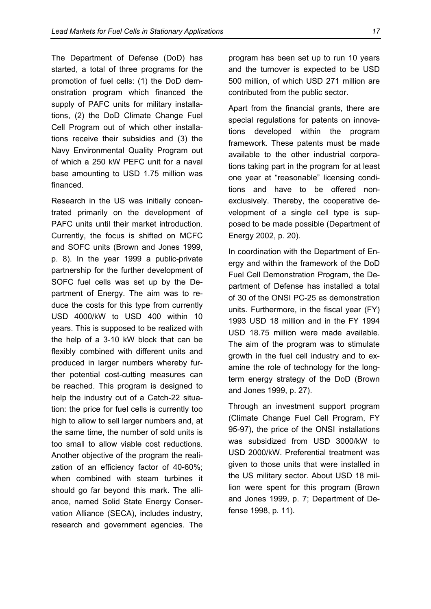The Department of Defense (DoD) has started, a total of three programs for the promotion of fuel cells: (1) the DoD demonstration program which financed the supply of PAFC units for military installations, (2) the DoD Climate Change Fuel Cell Program out of which other installations receive their subsidies and (3) the Navy Environmental Quality Program out of which a 250 kW PEFC unit for a naval base amounting to USD 1.75 million was financed.

Research in the US was initially concentrated primarily on the development of PAFC units until their market introduction. Currently, the focus is shifted on MCFC and SOFC units (Brown and Jones 1999, p. 8). In the year 1999 a public-private partnership for the further development of SOFC fuel cells was set up by the Department of Energy. The aim was to reduce the costs for this type from currently USD 4000/kW to USD 400 within 10 years. This is supposed to be realized with the help of a 3-10 kW block that can be flexibly combined with different units and produced in larger numbers whereby further potential cost-cutting measures can be reached. This program is designed to help the industry out of a Catch-22 situation: the price for fuel cells is currently too high to allow to sell larger numbers and, at the same time, the number of sold units is too small to allow viable cost reductions. Another objective of the program the realization of an efficiency factor of 40-60%; when combined with steam turbines it should go far beyond this mark. The alliance, named Solid State Energy Conservation Alliance (SECA), includes industry, research and government agencies. The

program has been set up to run 10 years and the turnover is expected to be USD 500 million, of which USD 271 million are contributed from the public sector.

Apart from the financial grants, there are special regulations for patents on innovations developed within the program framework. These patents must be made available to the other industrial corporations taking part in the program for at least one year at "reasonable" licensing conditions and have to be offered nonexclusively. Thereby, the cooperative development of a single cell type is supposed to be made possible (Department of Energy 2002, p. 20).

In coordination with the Department of Energy and within the framework of the DoD Fuel Cell Demonstration Program, the Department of Defense has installed a total of 30 of the ONSI PC-25 as demonstration units. Furthermore, in the fiscal year (FY) 1993 USD 18 million and in the FY 1994 USD 18.75 million were made available. The aim of the program was to stimulate growth in the fuel cell industry and to examine the role of technology for the longterm energy strategy of the DoD (Brown and Jones 1999, p. 27).

Through an investment support program (Climate Change Fuel Cell Program, FY 95-97), the price of the ONSI installations was subsidized from USD 3000/kW to USD 2000/kW. Preferential treatment was given to those units that were installed in the US military sector. About USD 18 million were spent for this program (Brown and Jones 1999, p. 7; Department of Defense 1998, p. 11).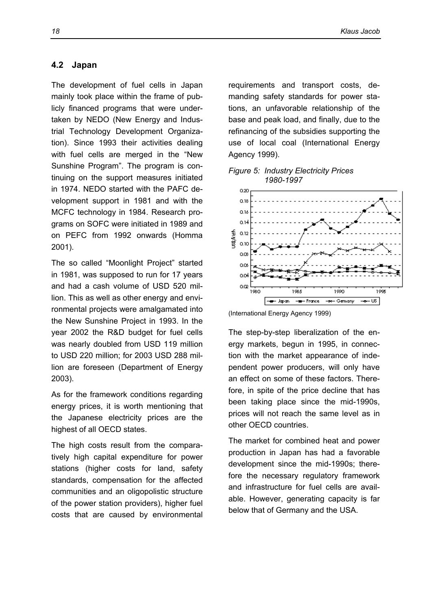#### **4.2 Japan**

The development of fuel cells in Japan mainly took place within the frame of publicly financed programs that were undertaken by NEDO (New Energy and Industrial Technology Development Organization). Since 1993 their activities dealing with fuel cells are merged in the "New Sunshine Program". The program is continuing on the support measures initiated in 1974. NEDO started with the PAFC development support in 1981 and with the MCFC technology in 1984. Research programs on SOFC were initiated in 1989 and on PEFC from 1992 onwards (Homma 2001).

The so called "Moonlight Project" started in 1981, was supposed to run for 17 years and had a cash volume of USD 520 million. This as well as other energy and environmental projects were amalgamated into the New Sunshine Project in 1993. In the year 2002 the R&D budget for fuel cells was nearly doubled from USD 119 million to USD 220 million; for 2003 USD 288 million are foreseen (Department of Energy 2003).

As for the framework conditions regarding energy prices, it is worth mentioning that the Japanese electricity prices are the highest of all OECD states.

The high costs result from the comparatively high capital expenditure for power stations (higher costs for land, safety standards, compensation for the affected communities and an oligopolistic structure of the power station providers), higher fuel costs that are caused by environmental requirements and transport costs, demanding safety standards for power stations, an unfavorable relationship of the base and peak load, and finally, due to the refinancing of the subsidies supporting the use of local coal (International Energy Agency 1999).





(International Energy Agency 1999)

The step-by-step liberalization of the energy markets, begun in 1995, in connection with the market appearance of independent power producers, will only have an effect on some of these factors. Therefore, in spite of the price decline that has been taking place since the mid-1990s, prices will not reach the same level as in other OECD countries.

The market for combined heat and power production in Japan has had a favorable development since the mid-1990s; therefore the necessary regulatory framework and infrastructure for fuel cells are available. However, generating capacity is far below that of Germany and the USA.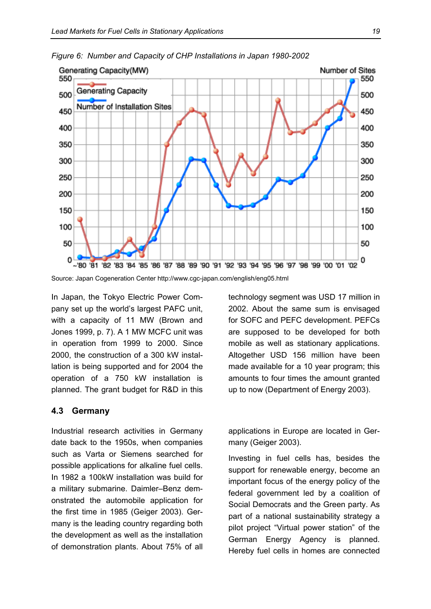

*Figure 6: Number and Capacity of CHP Installations in Japan 1980-2002* 

In Japan, the Tokyo Electric Power Company set up the world's largest PAFC unit, with a capacity of 11 MW (Brown and Jones 1999, p. 7). A 1 MW MCFC unit was in operation from 1999 to 2000. Since 2000, the construction of a 300 kW installation is being supported and for 2004 the operation of a 750 kW installation is planned. The grant budget for R&D in this

#### **4.3 Germany**

Industrial research activities in Germany date back to the 1950s, when companies such as Varta or Siemens searched for possible applications for alkaline fuel cells. In 1982 a 100kW installation was build for a military submarine. Daimler–Benz demonstrated the automobile application for the first time in 1985 (Geiger 2003). Germany is the leading country regarding both the development as well as the installation of demonstration plants. About 75% of all technology segment was USD 17 million in 2002. About the same sum is envisaged for SOFC and PEFC development. PEFCs are supposed to be developed for both mobile as well as stationary applications. Altogether USD 156 million have been made available for a 10 year program; this amounts to four times the amount granted up to now (Department of Energy 2003).

applications in Europe are located in Germany (Geiger 2003).

Investing in fuel cells has, besides the support for renewable energy, become an important focus of the energy policy of the federal government led by a coalition of Social Democrats and the Green party. As part of a national sustainability strategy a pilot project "Virtual power station" of the German Energy Agency is planned. Hereby fuel cells in homes are connected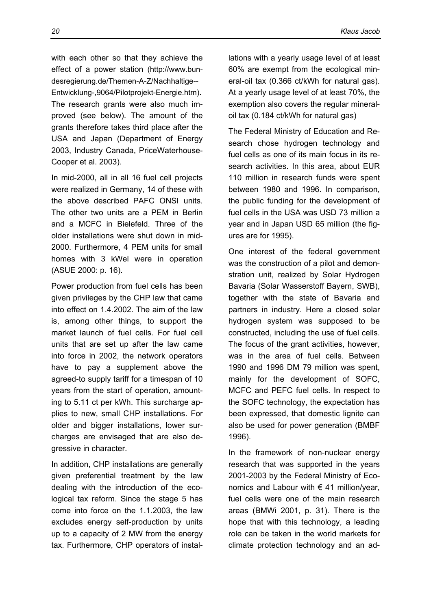with each other so that they achieve the effect of a power station (http://www.bundesregierung.de/Themen-A-Z/Nachhaltige-- Entwicklung-,9064/Pilotprojekt-Energie.htm). The research grants were also much improved (see below). The amount of the grants therefore takes third place after the USA and Japan (Department of Energy 2003, Industry Canada, PriceWaterhouse-Cooper et al. 2003).

In mid-2000, all in all 16 fuel cell projects were realized in Germany, 14 of these with the above described PAFC ONSI units. The other two units are a PEM in Berlin and a MCFC in Bielefeld. Three of the older installations were shut down in mid-2000. Furthermore, 4 PEM units for small homes with 3 kWel were in operation (ASUE 2000: p. 16).

Power production from fuel cells has been given privileges by the CHP law that came into effect on 1.4.2002. The aim of the law is, among other things, to support the market launch of fuel cells. For fuel cell units that are set up after the law came into force in 2002, the network operators have to pay a supplement above the agreed-to supply tariff for a timespan of 10 years from the start of operation, amounting to 5.11 ct per kWh. This surcharge applies to new, small CHP installations. For older and bigger installations, lower surcharges are envisaged that are also degressive in character.

In addition, CHP installations are generally given preferential treatment by the law dealing with the introduction of the ecological tax reform. Since the stage 5 has come into force on the 1.1.2003, the law excludes energy self-production by units up to a capacity of 2 MW from the energy tax. Furthermore, CHP operators of installations with a yearly usage level of at least 60% are exempt from the ecological mineral-oil tax (0.366 ct/kWh for natural gas). At a yearly usage level of at least 70%, the exemption also covers the regular mineraloil tax (0.184 ct/kWh for natural gas)

The Federal Ministry of Education and Research chose hydrogen technology and fuel cells as one of its main focus in its research activities. In this area, about EUR 110 million in research funds were spent between 1980 and 1996. In comparison, the public funding for the development of fuel cells in the USA was USD 73 million a year and in Japan USD 65 million (the figures are for 1995).

One interest of the federal government was the construction of a pilot and demonstration unit, realized by Solar Hydrogen Bavaria (Solar Wasserstoff Bayern, SWB), together with the state of Bavaria and partners in industry. Here a closed solar hydrogen system was supposed to be constructed, including the use of fuel cells. The focus of the grant activities, however, was in the area of fuel cells. Between 1990 and 1996 DM 79 million was spent, mainly for the development of SOFC, MCFC and PEFC fuel cells. In respect to the SOFC technology, the expectation has been expressed, that domestic lignite can also be used for power generation (BMBF 1996).

In the framework of non-nuclear energy research that was supported in the years 2001-2003 by the Federal Ministry of Economics and Labour with  $\epsilon$  41 million/year, fuel cells were one of the main research areas (BMWi 2001, p. 31). There is the hope that with this technology, a leading role can be taken in the world markets for climate protection technology and an ad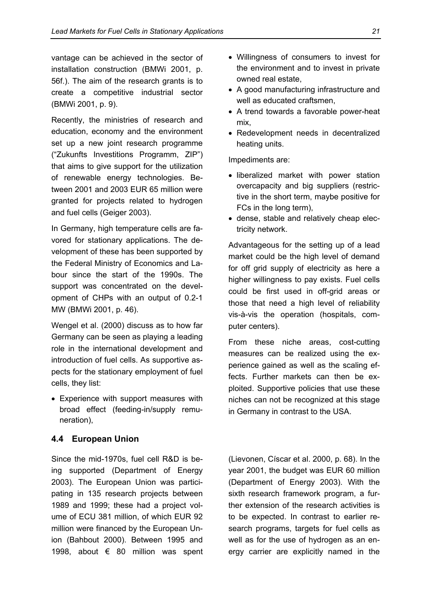vantage can be achieved in the sector of installation construction (BMWi 2001, p. 56f.). The aim of the research grants is to create a competitive industrial sector (BMWi 2001, p. 9).

Recently, the ministries of research and education, economy and the environment set up a new joint research programme ("Zukunfts Investitions Programm, ZIP") that aims to give support for the utilization of renewable energy technologies. Between 2001 and 2003 EUR 65 million were granted for projects related to hydrogen and fuel cells (Geiger 2003).

In Germany, high temperature cells are favored for stationary applications. The development of these has been supported by the Federal Ministry of Economics and Labour since the start of the 1990s. The support was concentrated on the development of CHPs with an output of 0.2-1 MW (BMWi 2001, p. 46).

Wengel et al. (2000) discuss as to how far Germany can be seen as playing a leading role in the international development and introduction of fuel cells. As supportive aspects for the stationary employment of fuel cells, they list:

• Experience with support measures with broad effect (feeding-in/supply remuneration),

#### **4.4 European Union**

Since the mid-1970s, fuel cell R&D is being supported (Department of Energy 2003). The European Union was participating in 135 research projects between 1989 and 1999; these had a project volume of ECU 381 million, of which EUR 92 million were financed by the European Union (Bahbout 2000). Between 1995 and 1998, about € 80 million was spent

- Willingness of consumers to invest for the environment and to invest in private owned real estate,
- A good manufacturing infrastructure and well as educated craftsmen,
- A trend towards a favorable power-heat mix,
- Redevelopment needs in decentralized heating units.

Impediments are:

- liberalized market with power station overcapacity and big suppliers (restrictive in the short term, maybe positive for FCs in the long term),
- dense, stable and relatively cheap electricity network.

Advantageous for the setting up of a lead market could be the high level of demand for off grid supply of electricity as here a higher willingness to pay exists. Fuel cells could be first used in off-grid areas or those that need a high level of reliability vis-à-vis the operation (hospitals, computer centers).

From these niche areas, cost-cutting measures can be realized using the experience gained as well as the scaling effects. Further markets can then be exploited. Supportive policies that use these niches can not be recognized at this stage in Germany in contrast to the USA.

(Lievonen, Císcar et al. 2000, p. 68). In the year 2001, the budget was EUR 60 million (Department of Energy 2003). With the sixth research framework program, a further extension of the research activities is to be expected. In contrast to earlier research programs, targets for fuel cells as well as for the use of hydrogen as an energy carrier are explicitly named in the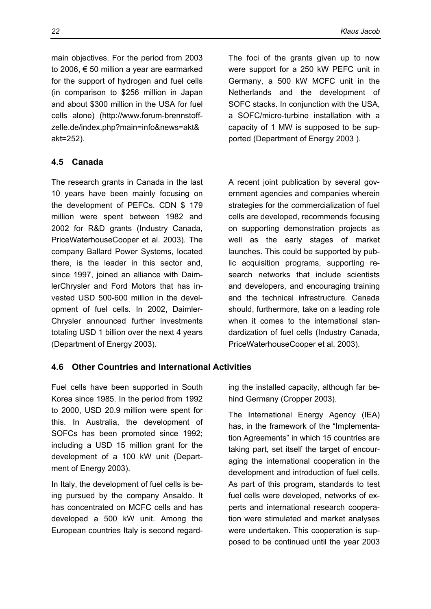main objectives. For the period from 2003 to 2006, € 50 million a year are earmarked for the support of hydrogen and fuel cells (in comparison to \$256 million in Japan and about \$300 million in the USA for fuel cells alone) (http://www.forum-brennstoffzelle.de/index.php?main=info&news=akt& akt=252).

### **4.5 Canada**

The research grants in Canada in the last 10 years have been mainly focusing on the development of PEFCs. CDN \$ 179 million were spent between 1982 and 2002 for R&D grants (Industry Canada, PriceWaterhouseCooper et al. 2003). The company Ballard Power Systems, located there, is the leader in this sector and, since 1997, joined an alliance with DaimlerChrysler and Ford Motors that has invested USD 500-600 million in the development of fuel cells. In 2002, Daimler-Chrysler announced further investments totaling USD 1 billion over the next 4 years (Department of Energy 2003).

The foci of the grants given up to now were support for a 250 kW PEFC unit in Germany, a 500 kW MCFC unit in the Netherlands and the development of SOFC stacks. In conjunction with the USA, a SOFC/micro-turbine installation with a capacity of 1 MW is supposed to be supported (Department of Energy 2003 ).

A recent joint publication by several government agencies and companies wherein strategies for the commercialization of fuel cells are developed, recommends focusing on supporting demonstration projects as well as the early stages of market launches. This could be supported by public acquisition programs, supporting research networks that include scientists and developers, and encouraging training and the technical infrastructure. Canada should, furthermore, take on a leading role when it comes to the international standardization of fuel cells (Industry Canada, PriceWaterhouseCooper et al. 2003).

## **4.6 Other Countries and International Activities**

Fuel cells have been supported in South Korea since 1985. In the period from 1992 to 2000, USD 20.9 million were spent for this. In Australia, the development of SOFCs has been promoted since 1992; including a USD 15 million grant for the development of a 100 kW unit (Department of Energy 2003).

In Italy, the development of fuel cells is being pursued by the company Ansaldo. It has concentrated on MCFC cells and has developed a 500 kW unit. Among the European countries Italy is second regarding the installed capacity, although far behind Germany (Cropper 2003).

The International Energy Agency (IEA) has, in the framework of the "Implementation Agreements" in which 15 countries are taking part, set itself the target of encouraging the international cooperation in the development and introduction of fuel cells. As part of this program, standards to test fuel cells were developed, networks of experts and international research cooperation were stimulated and market analyses were undertaken. This cooperation is supposed to be continued until the year 2003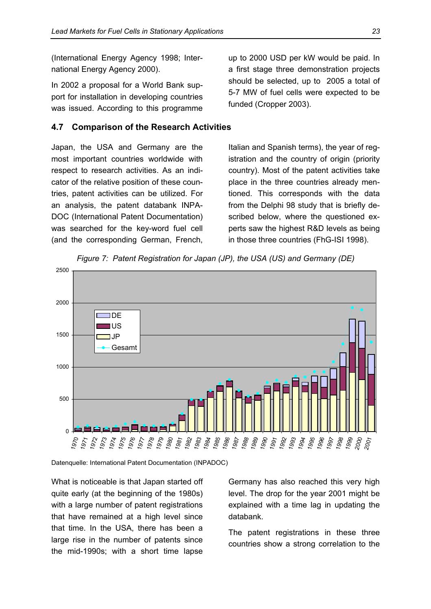(International Energy Agency 1998; International Energy Agency 2000).

In 2002 a proposal for a World Bank support for installation in developing countries was issued. According to this programme

#### **4.7 Comparison of the Research Activities**

Japan, the USA and Germany are the most important countries worldwide with respect to research activities. As an indicator of the relative position of these countries, patent activities can be utilized. For an analysis, the patent databank INPA-DOC (International Patent Documentation) was searched for the key-word fuel cell (and the corresponding German, French,

up to 2000 USD per kW would be paid. In a first stage three demonstration projects should be selected, up to 2005 a total of 5-7 MW of fuel cells were expected to be funded (Cropper 2003).

Italian and Spanish terms), the year of registration and the country of origin (priority country). Most of the patent activities take place in the three countries already mentioned. This corresponds with the data from the Delphi 98 study that is briefly described below, where the questioned experts saw the highest R&D levels as being in those three countries (FhG-ISI 1998).



*Figure 7: Patent Registration for Japan (JP), the USA (US) and Germany (DE)* 

Datenquelle: International Patent Documentation (INPADOC)

What is noticeable is that Japan started off quite early (at the beginning of the 1980s) with a large number of patent registrations that have remained at a high level since that time. In the USA, there has been a large rise in the number of patents since the mid-1990s; with a short time lapse

Germany has also reached this very high level. The drop for the year 2001 might be explained with a time lag in updating the databank.

The patent registrations in these three countries show a strong correlation to the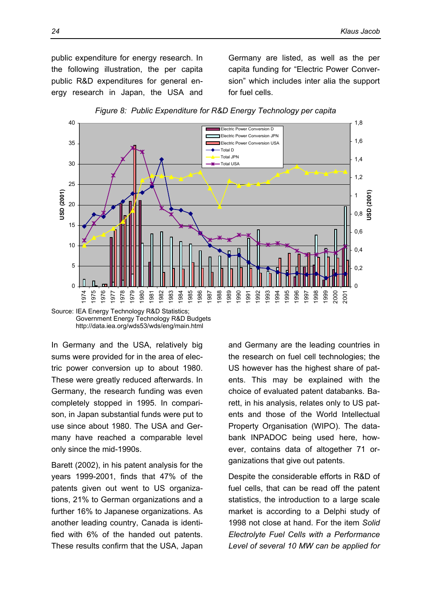public expenditure for energy research. In the following illustration, the per capita public R&D expenditures for general energy research in Japan, the USA and

Germany are listed, as well as the per capita funding for "Electric Power Conversion" which includes inter alia the support for fuel cells.



*Figure 8: Public Expenditure for R&D Energy Technology per capita*



In Germany and the USA, relatively big sums were provided for in the area of electric power conversion up to about 1980. These were greatly reduced afterwards. In Germany, the research funding was even completely stopped in 1995. In comparison, in Japan substantial funds were put to use since about 1980. The USA and Germany have reached a comparable level only since the mid-1990s.

Barett (2002), in his patent analysis for the years 1999-2001, finds that 47% of the patents given out went to US organizations, 21% to German organizations and a further 16% to Japanese organizations. As another leading country, Canada is identified with 6% of the handed out patents. These results confirm that the USA, Japan and Germany are the leading countries in the research on fuel cell technologies; the US however has the highest share of patents. This may be explained with the choice of evaluated patent databanks. Barett, in his analysis, relates only to US patents and those of the World Intellectual Property Organisation (WIPO). The databank INPADOC being used here, however, contains data of altogether 71 organizations that give out patents.

Despite the considerable efforts in R&D of fuel cells, that can be read off the patent statistics, the introduction to a large scale market is according to a Delphi study of 1998 not close at hand. For the item *Solid Electrolyte Fuel Cells with a Performance Level of several 10 MW can be applied for*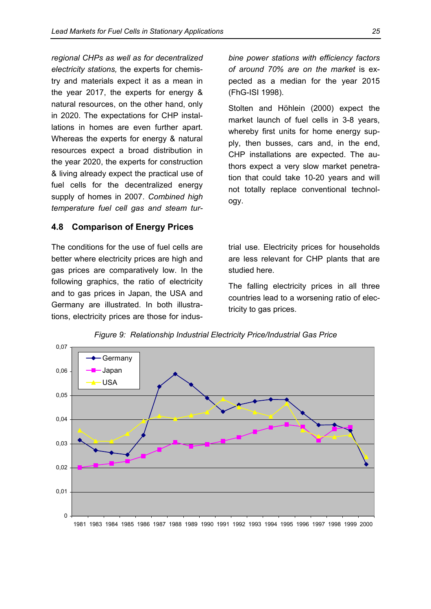*regional CHPs as well as for decentralized electricity stations,* the experts for chemistry and materials expect it as a mean in the year 2017, the experts for energy & natural resources, on the other hand, only in 2020. The expectations for CHP installations in homes are even further apart. Whereas the experts for energy & natural resources expect a broad distribution in the year 2020, the experts for construction & living already expect the practical use of fuel cells for the decentralized energy supply of homes in 2007. *Combined high temperature fuel cell gas and steam tur-*

### **4.8 Comparison of Energy Prices**

The conditions for the use of fuel cells are better where electricity prices are high and gas prices are comparatively low. In the following graphics, the ratio of electricity and to gas prices in Japan, the USA and Germany are illustrated. In both illustrations, electricity prices are those for indus*bine power stations with efficiency factors of around 70% are on the market* is expected as a median for the year 2015 (FhG-ISI 1998).

Stolten and Höhlein (2000) expect the market launch of fuel cells in 3-8 years, whereby first units for home energy supply, then busses, cars and, in the end, CHP installations are expected. The authors expect a very slow market penetration that could take 10-20 years and will not totally replace conventional technology.

trial use. Electricity prices for households are less relevant for CHP plants that are studied here.

The falling electricity prices in all three countries lead to a worsening ratio of electricity to gas prices.



*Figure 9: Relationship Industrial Electricity Price/Industrial Gas Price*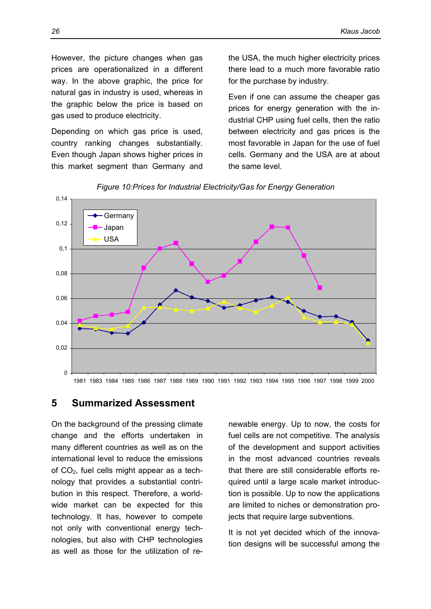However, the picture changes when gas prices are operationalized in a different way. In the above graphic, the price for natural gas in industry is used, whereas in the graphic below the price is based on gas used to produce electricity.

Depending on which gas price is used, country ranking changes substantially. Even though Japan shows higher prices in this market segment than Germany and the USA, the much higher electricity prices there lead to a much more favorable ratio for the purchase by industry.

Even if one can assume the cheaper gas prices for energy generation with the industrial CHP using fuel cells, then the ratio between electricity and gas prices is the most favorable in Japan for the use of fuel cells. Germany and the USA are at about the same level.



*Figure 10: Prices for Industrial Electricity/Gas for Energy Generation* 

## **5 Summarized Assessment**

On the background of the pressing climate change and the efforts undertaken in many different countries as well as on the international level to reduce the emissions of CO2, fuel cells might appear as a technology that provides a substantial contribution in this respect. Therefore, a worldwide market can be expected for this technology. It has, however to compete not only with conventional energy technologies, but also with CHP technologies as well as those for the utilization of re-

newable energy. Up to now, the costs for fuel cells are not competitive. The analysis of the development and support activities in the most advanced countries reveals that there are still considerable efforts required until a large scale market introduction is possible. Up to now the applications are limited to niches or demonstration projects that require large subventions.

It is not yet decided which of the innovation designs will be successful among the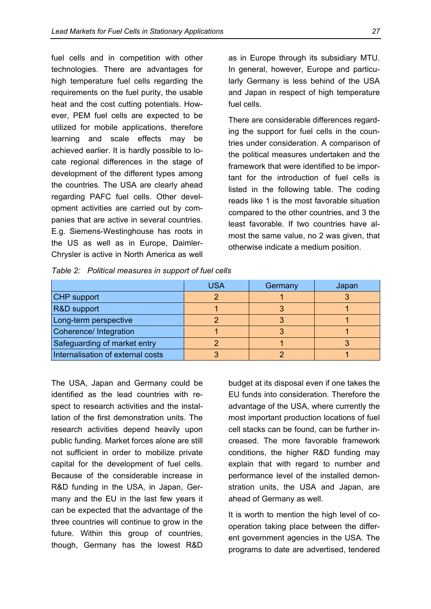fuel cells and in competition with other technologies. There are advantages for high temperature fuel cells regarding the requirements on the fuel purity, the usable heat and the cost cutting potentials. However, PEM fuel cells are expected to be utilized for mobile applications, therefore learning and scale effects may be achieved earlier. It is hardly possible to locate regional differences in the stage of development of the different types among the countries. The USA are clearly ahead regarding PAFC fuel cells. Other development activities are carried out by companies that are active in several countries. E.g. Siemens-Westinghouse has roots in the US as well as in Europe, Daimler-Chrysler is active in North America as well as in Europe through its subsidiary MTU. In general, however, Europe and particularly Germany is less behind of the USA and Japan in respect of high temperature fuel cells.

There are considerable differences regarding the support for fuel cells in the countries under consideration. A comparison of the political measures undertaken and the framework that were identified to be important for the introduction of fuel cells is listed in the following table. The coding reads like 1 is the most favorable situation compared to the other countries, and 3 the least favorable. If two countries have almost the same value, no 2 was given, that otherwise indicate a medium position.

*Table 2: Political measures in support of fuel cells* 

|                                   | <b>USA</b> | Germany | Japan |
|-----------------------------------|------------|---------|-------|
| CHP support                       |            |         |       |
| R&D support                       |            |         |       |
| Long-term perspective             |            |         |       |
| Coherence/ Integration            |            |         |       |
| Safeguarding of market entry      |            |         |       |
| Internalisation of external costs |            |         |       |

The USA, Japan and Germany could be identified as the lead countries with respect to research activities and the installation of the first demonstration units. The research activities depend heavily upon public funding. Market forces alone are still not sufficient in order to mobilize private capital for the development of fuel cells. Because of the considerable increase in R&D funding in the USA, in Japan, Germany and the EU in the last few years it can be expected that the advantage of the three countries will continue to grow in the future. Within this group of countries, though, Germany has the lowest R&D budget at its disposal even if one takes the EU funds into consideration. Therefore the advantage of the USA, where currently the most important production locations of fuel cell stacks can be found, can be further increased. The more favorable framework conditions, the higher R&D funding may explain that with regard to number and performance level of the installed demonstration units, the USA and Japan, are ahead of Germany as well.

It is worth to mention the high level of cooperation taking place between the different government agencies in the USA. The programs to date are advertised, tendered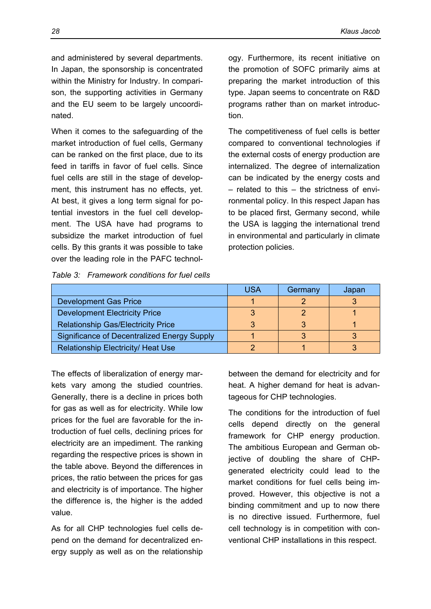and administered by several departments. In Japan, the sponsorship is concentrated within the Ministry for Industry. In comparison, the supporting activities in Germany and the EU seem to be largely uncoordinated.

When it comes to the safeguarding of the market introduction of fuel cells, Germany can be ranked on the first place, due to its feed in tariffs in favor of fuel cells. Since fuel cells are still in the stage of development, this instrument has no effects, yet. At best, it gives a long term signal for potential investors in the fuel cell development. The USA have had programs to subsidize the market introduction of fuel cells. By this grants it was possible to take over the leading role in the PAFC technol-

| Table 3: Framework conditions for fuel cells |  |  |
|----------------------------------------------|--|--|
|                                              |  |  |

ogy. Furthermore, its recent initiative on the promotion of SOFC primarily aims at preparing the market introduction of this type. Japan seems to concentrate on R&D programs rather than on market introduction.

The competitiveness of fuel cells is better compared to conventional technologies if the external costs of energy production are internalized. The degree of internalization can be indicated by the energy costs and – related to this – the strictness of environmental policy. In this respect Japan has to be placed first, Germany second, while the USA is lagging the international trend in environmental and particularly in climate protection policies.

|                                                    | <b>USA</b> | Germany | Japan |
|----------------------------------------------------|------------|---------|-------|
| <b>Development Gas Price</b>                       |            |         |       |
| <b>Development Electricity Price</b>               |            |         |       |
| <b>Relationship Gas/Electricity Price</b>          |            |         |       |
| <b>Significance of Decentralized Energy Supply</b> |            |         |       |
| <b>Relationship Electricity/ Heat Use</b>          |            |         |       |

The effects of liberalization of energy markets vary among the studied countries. Generally, there is a decline in prices both for gas as well as for electricity. While low prices for the fuel are favorable for the introduction of fuel cells, declining prices for electricity are an impediment. The ranking regarding the respective prices is shown in the table above. Beyond the differences in prices, the ratio between the prices for gas and electricity is of importance. The higher the difference is, the higher is the added value.

As for all CHP technologies fuel cells depend on the demand for decentralized energy supply as well as on the relationship between the demand for electricity and for heat. A higher demand for heat is advantageous for CHP technologies.

The conditions for the introduction of fuel cells depend directly on the general framework for CHP energy production. The ambitious European and German objective of doubling the share of CHPgenerated electricity could lead to the market conditions for fuel cells being improved. However, this objective is not a binding commitment and up to now there is no directive issued. Furthermore, fuel cell technology is in competition with conventional CHP installations in this respect.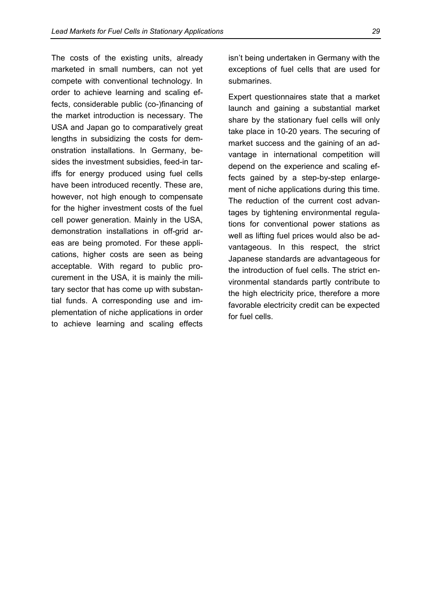The costs of the existing units, already marketed in small numbers, can not yet compete with conventional technology. In order to achieve learning and scaling effects, considerable public (co-)financing of the market introduction is necessary. The USA and Japan go to comparatively great lengths in subsidizing the costs for demonstration installations. In Germany, besides the investment subsidies, feed-in tariffs for energy produced using fuel cells have been introduced recently. These are, however, not high enough to compensate for the higher investment costs of the fuel cell power generation. Mainly in the USA, demonstration installations in off-grid areas are being promoted. For these applications, higher costs are seen as being acceptable. With regard to public procurement in the USA, it is mainly the military sector that has come up with substantial funds. A corresponding use and implementation of niche applications in order to achieve learning and scaling effects

isn't being undertaken in Germany with the exceptions of fuel cells that are used for submarines.

Expert questionnaires state that a market launch and gaining a substantial market share by the stationary fuel cells will only take place in 10-20 years. The securing of market success and the gaining of an advantage in international competition will depend on the experience and scaling effects gained by a step-by-step enlargement of niche applications during this time. The reduction of the current cost advantages by tightening environmental regulations for conventional power stations as well as lifting fuel prices would also be advantageous. In this respect, the strict Japanese standards are advantageous for the introduction of fuel cells. The strict environmental standards partly contribute to the high electricity price, therefore a more favorable electricity credit can be expected for fuel cells.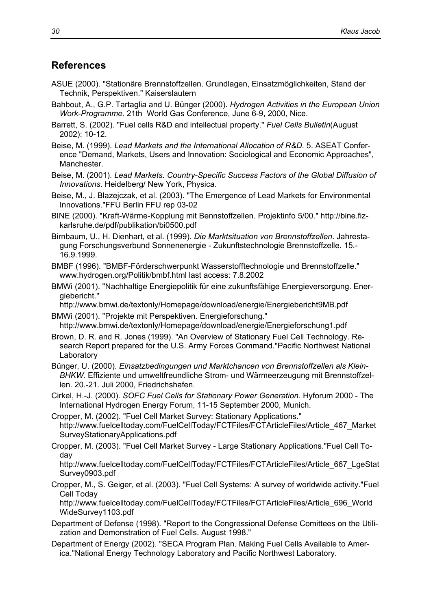## **References**

- ASUE (2000). "Stationäre Brennstoffzellen. Grundlagen, Einsatzmöglichkeiten, Stand der Technik, Perspektiven." Kaiserslautern
- Bahbout, A., G.P. Tartaglia and U. Bünger (2000). *Hydrogen Activities in the European Union Work-Programme.* 21th World Gas Conference, June 6-9, 2000, Nice.
- Barrett, S. (2002). "Fuel cells R&D and intellectual property." *Fuel Cells Bulletin*(August 2002): 10-12.
- Beise, M. (1999). *Lead Markets and the International Allocation of R&D.* 5. ASEAT Conference "Demand, Markets, Users and Innovation: Sociological and Economic Approaches", Manchester.
- Beise, M. (2001). *Lead Markets. Country-Specific Success Factors of the Global Diffusion of Innovations*. Heidelberg/ New York, Physica.
- Beise, M., J. Blazejczak, et al. (2003). "The Emergence of Lead Markets for Environmental Innovations."FFU Berlin FFU rep 03-02
- BINE (2000). "Kraft-Wärme-Kopplung mit Bennstoffzellen. Projektinfo 5/00." http://bine.fizkarlsruhe.de/pdf/publikation/bi0500.pdf
- Birnbaum, U., H. Dienhart, et al. (1999). *Die Marktsituation von Brennstoffzellen*. Jahrestagung Forschungsverbund Sonnenenergie - Zukunftstechnologie Brennstoffzelle. 15.- 16.9.1999.
- BMBF (1996). "BMBF-Förderschwerpunkt Wasserstofftechnologie und Brennstoffzelle." www.hydrogen.org/Politik/bmbf.html last access: 7.8.2002
- BMWi (2001). "Nachhaltige Energiepolitik für eine zukunftsfähige Energieversorgung. Energiebericht."
- http://www.bmwi.de/textonly/Homepage/download/energie/Energiebericht9MB.pdf BMWi (2001). "Projekte mit Perspektiven. Energieforschung."
- http://www.bmwi.de/textonly/Homepage/download/energie/Energieforschung1.pdf
- Brown, D. R. and R. Jones (1999). "An Overview of Stationary Fuel Cell Technology. Research Report prepared for the U.S. Army Forces Command."Pacific Northwest National Laboratory
- Bünger, U. (2000). *Einsatzbedingungen und Marktchancen von Brennstoffzellen als Klein-BHKW.* Effiziente und umweltfreundliche Strom- und Wärmeerzeugung mit Brennstoffzellen. 20.-21. Juli 2000, Friedrichshafen.
- Cirkel, H.-J. (2000). *SOFC Fuel Cells for Stationary Power Generation*. Hyforum 2000 The International Hydrogen Energy Forum, 11-15 September 2000, Munich.
- Cropper, M. (2002). "Fuel Cell Market Survey: Stationary Applications." http://www.fuelcelltoday.com/FuelCellToday/FCTFiles/FCTArticleFiles/Article\_467\_Market SurveyStationaryApplications.pdf
- Cropper, M. (2003). "Fuel Cell Market Survey Large Stationary Applications."Fuel Cell Today

http://www.fuelcelltoday.com/FuelCellToday/FCTFiles/FCTArticleFiles/Article\_667\_LgeStat Survey0903.pdf

Cropper, M., S. Geiger, et al. (2003). "Fuel Cell Systems: A survey of worldwide activity."Fuel Cell Today

http://www.fuelcelltoday.com/FuelCellToday/FCTFiles/FCTArticleFiles/Article\_696\_World WideSurvey1103.pdf

- Department of Defense (1998). "Report to the Congressional Defense Comittees on the Utilization and Demonstration of Fuel Cells. August 1998."
- Department of Energy (2002). "SECA Program Plan. Making Fuel Cells Available to America."National Energy Technology Laboratory and Pacific Northwest Laboratory.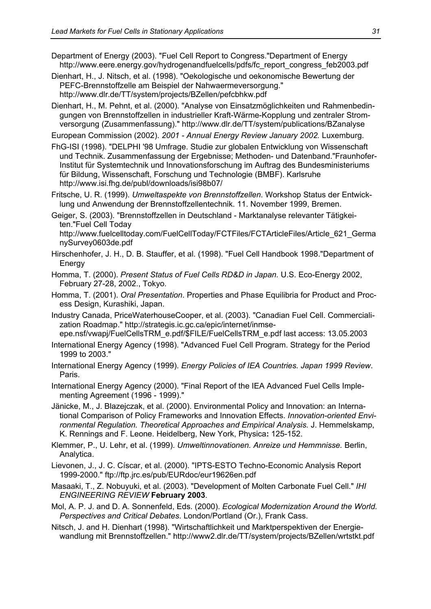Department of Energy (2003). "Fuel Cell Report to Congress."Department of Energy http://www.eere.energy.gov/hydrogenandfuelcells/pdfs/fc\_report\_congress\_feb2003.pdf

Dienhart, H., J. Nitsch, et al. (1998). "Oekologische und oekonomische Bewertung der PEFC-Brennstoffzelle am Beispiel der Nahwaermeversorgung." http://www.dlr.de/TT/system/projects/BZellen/pefcbhkw.pdf

Dienhart, H., M. Pehnt, et al. (2000). "Analyse von Einsatzmöglichkeiten und Rahmenbedingungen von Brennstoffzellen in industrieller Kraft-Wärme-Kopplung und zentraler Stromversorgung (Zusammenfassung)." http://www.dlr.de/TT/system/publications/BZanalyse

European Commission (2002). *2001 - Annual Energy Review January 2002.* Luxemburg.

FhG-ISI (1998). "DELPHI '98 Umfrage. Studie zur globalen Entwicklung von Wissenschaft und Technik. Zusammenfassung der Ergebnisse; Methoden- und Datenband."Fraunhofer-Institut für Systemtechnik und Innovationsforschung im Auftrag des Bundesministeriums für Bildung, Wissenschaft, Forschung und Technologie (BMBF). Karlsruhe http://www.isi.fhg.de/publ/downloads/isi98b07/

Fritsche, U. R. (1999). *Umweltaspekte von Brennstoffzellen.* Workshop Status der Entwicklung und Anwendung der Brennstoffzellentechnik. 11. November 1999, Bremen.

Geiger, S. (2003). "Brennstoffzellen in Deutschland - Marktanalyse relevanter Tätigkeiten."Fuel Cell Today

http://www.fuelcelltoday.com/FuelCellToday/FCTFiles/FCTArticleFiles/Article\_621\_Germa nySurvey0603de.pdf

- Hirschenhofer, J. H., D. B. Stauffer, et al. (1998). "Fuel Cell Handbook 1998."Department of Energy
- Homma, T. (2000). *Present Status of Fuel Cells RD&D in Japan.* U.S. Eco-Energy 2002, February 27-28, 2002., Tokyo.
- Homma, T. (2001). *Oral Presentation*. Properties and Phase Equilibria for Product and Process Design, Kurashiki, Japan.
- Industry Canada, PriceWaterhouseCooper, et al. (2003). "Canadian Fuel Cell. Commercialization Roadmap." http://strategis.ic.gc.ca/epic/internet/inmseepe.nsf/vwapj/FuelCellsTRM\_e.pdf/\$FILE/FuelCellsTRM\_e.pdf last access: 13.05.2003
- International Energy Agency (1998). "Advanced Fuel Cell Program. Strategy for the Period 1999 to 2003."
- International Energy Agency (1999). *Energy Policies of IEA Countries. Japan 1999 Review*. Paris.
- International Energy Agency (2000). "Final Report of the IEA Advanced Fuel Cells Implementing Agreement (1996 - 1999)."
- Jänicke, M., J. Blazejczak, et al. (2000). Environmental Policy and Innovation: an International Comparison of Policy Frameworks and Innovation Effects. *Innovation-oriented Environmental Regulation. Theoretical Approaches and Empirical Analysis.* J. Hemmelskamp, K. Rennings and F. Leone. Heidelberg, New York, Physica**:** 125-152.
- Klemmer, P., U. Lehr, et al. (1999). *Umweltinnovationen. Anreize und Hemmnisse.* Berlin, Analytica.

Lievonen, J., J. C. Císcar, et al. (2000). "IPTS-ESTO Techno-Economic Analysis Report 1999-2000." ftp://ftp.jrc.es/pub/EURdoc/eur19626en.pdf

- Masaaki, T., Z. Nobuyuki, et al. (2003). "Development of Molten Carbonate Fuel Cell." *IHI ENGINEERING REVIEW* **February 2003**.
- Mol, A. P. J. and D. A. Sonnenfeld, Eds. (2000). *Ecological Modernization Around the World. Perspectives and Critical Debates*. London/Portland (Or.), Frank Cass.
- Nitsch, J. and H. Dienhart (1998). "Wirtschaftlichkeit und Marktperspektiven der Energiewandlung mit Brennstoffzellen." http://www2.dlr.de/TT/system/projects/BZellen/wrtstkt.pdf